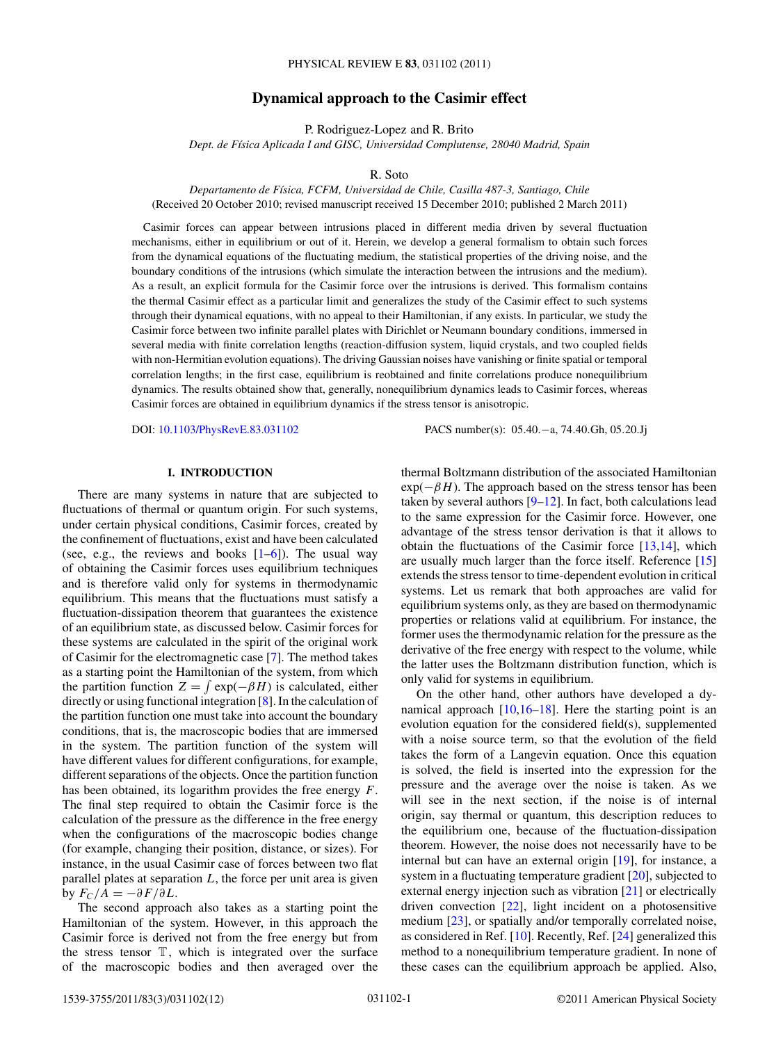# **Dynamical approach to the Casimir effect**

P. Rodriguez-Lopez and R. Brito

*Dept. de F´ısica Aplicada I and GISC, Universidad Complutense, 28040 Madrid, Spain*

R. Soto

*Departamento de F´ısica, FCFM, Universidad de Chile, Casilla 487-3, Santiago, Chile* (Received 20 October 2010; revised manuscript received 15 December 2010; published 2 March 2011)

Casimir forces can appear between intrusions placed in different media driven by several fluctuation mechanisms, either in equilibrium or out of it. Herein, we develop a general formalism to obtain such forces from the dynamical equations of the fluctuating medium, the statistical properties of the driving noise, and the boundary conditions of the intrusions (which simulate the interaction between the intrusions and the medium). As a result, an explicit formula for the Casimir force over the intrusions is derived. This formalism contains the thermal Casimir effect as a particular limit and generalizes the study of the Casimir effect to such systems through their dynamical equations, with no appeal to their Hamiltonian, if any exists. In particular, we study the Casimir force between two infinite parallel plates with Dirichlet or Neumann boundary conditions, immersed in several media with finite correlation lengths (reaction-diffusion system, liquid crystals, and two coupled fields with non-Hermitian evolution equations). The driving Gaussian noises have vanishing or finite spatial or temporal correlation lengths; in the first case, equilibrium is reobtained and finite correlations produce nonequilibrium dynamics. The results obtained show that, generally, nonequilibrium dynamics leads to Casimir forces, whereas Casimir forces are obtained in equilibrium dynamics if the stress tensor is anisotropic.

DOI: [10.1103/PhysRevE.83.031102](http://dx.doi.org/10.1103/PhysRevE.83.031102) PACS number(s): 05*.*40*.*−a, 74*.*40*.*Gh, 05*.*20*.*Jj

### **I. INTRODUCTION**

There are many systems in nature that are subjected to fluctuations of thermal or quantum origin. For such systems, under certain physical conditions, Casimir forces, created by the confinement of fluctuations, exist and have been calculated (see, e.g., the reviews and books  $[1-6]$ ). The usual way of obtaining the Casimir forces uses equilibrium techniques and is therefore valid only for systems in thermodynamic equilibrium. This means that the fluctuations must satisfy a fluctuation-dissipation theorem that guarantees the existence of an equilibrium state, as discussed below. Casimir forces for these systems are calculated in the spirit of the original work of Casimir for the electromagnetic case [\[7\]](#page-10-0). The method takes as a starting point the Hamiltonian of the system, from which the partition function  $Z = \int \exp(-\beta H)$  is calculated, either directly or using functional integration [\[8\]](#page-10-0). In the calculation of the partition function one must take into account the boundary conditions, that is, the macroscopic bodies that are immersed in the system. The partition function of the system will have different values for different configurations, for example, different separations of the objects. Once the partition function has been obtained, its logarithm provides the free energy *F*. The final step required to obtain the Casimir force is the calculation of the pressure as the difference in the free energy when the configurations of the macroscopic bodies change (for example, changing their position, distance, or sizes). For instance, in the usual Casimir case of forces between two flat parallel plates at separation *L*, the force per unit area is given by  $F_C/A = -\partial F/\partial L$ .

The second approach also takes as a starting point the Hamiltonian of the system. However, in this approach the Casimir force is derived not from the free energy but from the stress tensor  $\mathbb{T}$ , which is integrated over the surface of the macroscopic bodies and then averaged over the

thermal Boltzmann distribution of the associated Hamiltonian  $exp(-\beta H)$ . The approach based on the stress tensor has been taken by several authors [\[9–12\]](#page-10-0). In fact, both calculations lead to the same expression for the Casimir force. However, one advantage of the stress tensor derivation is that it allows to obtain the fluctuations of the Casimir force [\[13,14\]](#page-10-0), which are usually much larger than the force itself. Reference [\[15\]](#page-10-0) extends the stress tensor to time-dependent evolution in critical systems. Let us remark that both approaches are valid for equilibrium systems only, as they are based on thermodynamic properties or relations valid at equilibrium. For instance, the former uses the thermodynamic relation for the pressure as the derivative of the free energy with respect to the volume, while the latter uses the Boltzmann distribution function, which is only valid for systems in equilibrium.

On the other hand, other authors have developed a dynamical approach  $[10,16-18]$ . Here the starting point is an evolution equation for the considered field(s), supplemented with a noise source term, so that the evolution of the field takes the form of a Langevin equation. Once this equation is solved, the field is inserted into the expression for the pressure and the average over the noise is taken. As we will see in the next section, if the noise is of internal origin, say thermal or quantum, this description reduces to the equilibrium one, because of the fluctuation-dissipation theorem. However, the noise does not necessarily have to be internal but can have an external origin [\[19\]](#page-10-0), for instance, a system in a fluctuating temperature gradient [\[20\]](#page-10-0), subjected to external energy injection such as vibration [\[21\]](#page-10-0) or electrically driven convection [\[22\]](#page-10-0), light incident on a photosensitive medium [\[23\]](#page-10-0), or spatially and/or temporally correlated noise, as considered in Ref. [\[10\]](#page-10-0). Recently, Ref. [\[24\]](#page-10-0) generalized this method to a nonequilibrium temperature gradient. In none of these cases can the equilibrium approach be applied. Also,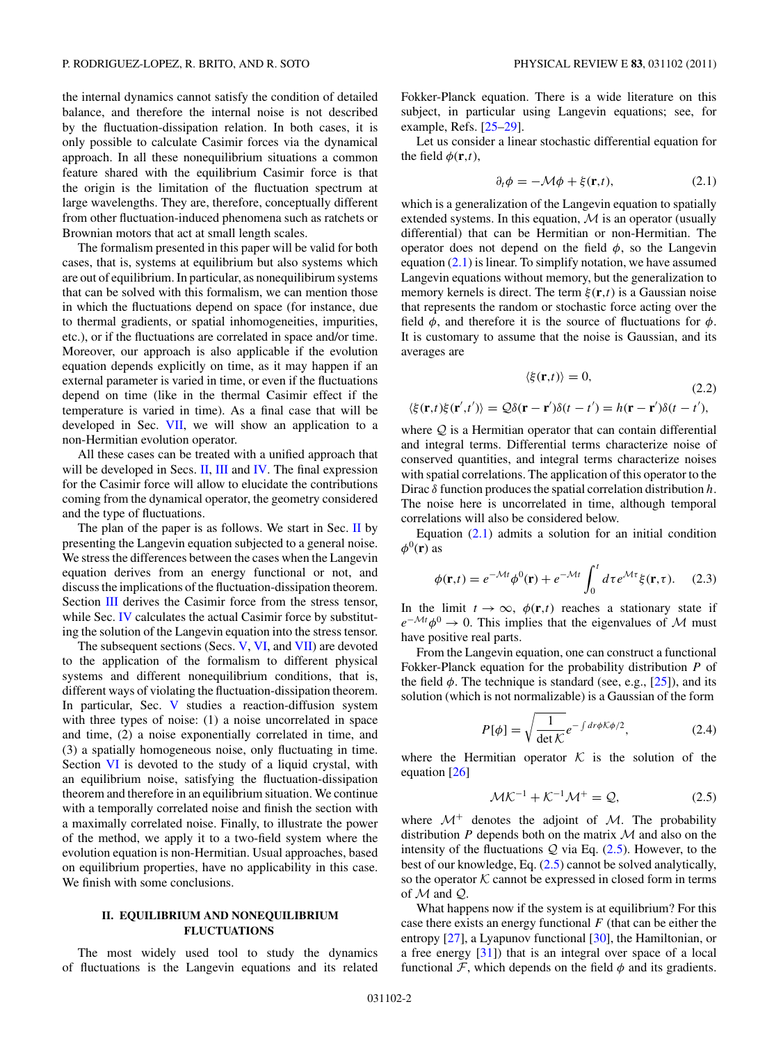<span id="page-1-0"></span>the internal dynamics cannot satisfy the condition of detailed balance, and therefore the internal noise is not described by the fluctuation-dissipation relation. In both cases, it is only possible to calculate Casimir forces via the dynamical approach. In all these nonequilibrium situations a common feature shared with the equilibrium Casimir force is that the origin is the limitation of the fluctuation spectrum at large wavelengths. They are, therefore, conceptually different from other fluctuation-induced phenomena such as ratchets or Brownian motors that act at small length scales.

The formalism presented in this paper will be valid for both cases, that is, systems at equilibrium but also systems which are out of equilibrium. In particular, as nonequilibirum systems that can be solved with this formalism, we can mention those in which the fluctuations depend on space (for instance, due to thermal gradients, or spatial inhomogeneities, impurities, etc.), or if the fluctuations are correlated in space and/or time. Moreover, our approach is also applicable if the evolution equation depends explicitly on time, as it may happen if an external parameter is varied in time, or even if the fluctuations depend on time (like in the thermal Casimir effect if the temperature is varied in time). As a final case that will be developed in Sec. [VII,](#page-8-0) we will show an application to a non-Hermitian evolution operator.

All these cases can be treated with a unified approach that will be developed in Secs. II, [III](#page-2-0) and [IV.](#page-3-0) The final expression for the Casimir force will allow to elucidate the contributions coming from the dynamical operator, the geometry considered and the type of fluctuations.

The plan of the paper is as follows. We start in Sec. II by presenting the Langevin equation subjected to a general noise. We stress the differences between the cases when the Langevin equation derives from an energy functional or not, and discuss the implications of the fluctuation-dissipation theorem. Section [III](#page-2-0) derives the Casimir force from the stress tensor, while Sec. [IV](#page-3-0) calculates the actual Casimir force by substituting the solution of the Langevin equation into the stress tensor.

The subsequent sections (Secs. [V,](#page-4-0) [VI,](#page-6-0) and [VII\)](#page-8-0) are devoted to the application of the formalism to different physical systems and different nonequilibrium conditions, that is, different ways of violating the fluctuation-dissipation theorem. In particular, Sec. [V](#page-4-0) studies a reaction-diffusion system with three types of noise: (1) a noise uncorrelated in space and time, (2) a noise exponentially correlated in time, and (3) a spatially homogeneous noise, only fluctuating in time. Section [VI](#page-6-0) is devoted to the study of a liquid crystal, with an equilibrium noise, satisfying the fluctuation-dissipation theorem and therefore in an equilibrium situation. We continue with a temporally correlated noise and finish the section with a maximally correlated noise. Finally, to illustrate the power of the method, we apply it to a two-field system where the evolution equation is non-Hermitian. Usual approaches, based on equilibrium properties, have no applicability in this case. We finish with some conclusions.

# **II. EQUILIBRIUM AND NONEQUILIBRIUM FLUCTUATIONS**

The most widely used tool to study the dynamics of fluctuations is the Langevin equations and its related

Fokker-Planck equation. There is a wide literature on this subject, in particular using Langevin equations; see, for example, Refs. [\[25–29\]](#page-10-0).

Let us consider a linear stochastic differential equation for the field  $\phi(\mathbf{r},t)$ ,

$$
\partial_t \phi = -\mathcal{M}\phi + \xi(\mathbf{r}, t),\tag{2.1}
$$

which is a generalization of the Langevin equation to spatially extended systems. In this equation,  $M$  is an operator (usually differential) that can be Hermitian or non-Hermitian. The operator does not depend on the field  $\phi$ , so the Langevin equation (2.1) is linear. To simplify notation, we have assumed Langevin equations without memory, but the generalization to memory kernels is direct. The term *ξ* (**r***,t*) is a Gaussian noise that represents the random or stochastic force acting over the field  $\phi$ , and therefore it is the source of fluctuations for  $\phi$ . It is customary to assume that the noise is Gaussian, and its averages are

$$
\langle \xi(\mathbf{r},t) \rangle = 0,\tag{2.2}
$$

$$
\langle \xi(\mathbf{r},t)\xi(\mathbf{r}',t')\rangle = \mathcal{Q}\delta(\mathbf{r}-\mathbf{r}')\delta(t-t') = h(\mathbf{r}-\mathbf{r}')\delta(t-t'),
$$

where  $Q$  is a Hermitian operator that can contain differential and integral terms. Differential terms characterize noise of conserved quantities, and integral terms characterize noises with spatial correlations. The application of this operator to the Dirac *δ* function produces the spatial correlation distribution *h*. The noise here is uncorrelated in time, although temporal correlations will also be considered below.

Equation  $(2.1)$  admits a solution for an initial condition  $\phi^0(\mathbf{r})$  as

$$
\phi(\mathbf{r},t) = e^{-\mathcal{M}t} \phi^0(\mathbf{r}) + e^{-\mathcal{M}t} \int_0^t d\tau e^{\mathcal{M}\tau} \xi(\mathbf{r},\tau). \tag{2.3}
$$

In the limit  $t \to \infty$ ,  $\phi(\mathbf{r},t)$  reaches a stationary state if  $e^{-\mathcal{M}t}\phi^0 \to 0$ . This implies that the eigenvalues of M must have positive real parts.

From the Langevin equation, one can construct a functional Fokker-Planck equation for the probability distribution *P* of the field  $\phi$ . The technique is standard (see, e.g., [\[25\]](#page-10-0)), and its solution (which is not normalizable) is a Gaussian of the form

$$
P[\phi] = \sqrt{\frac{1}{\det \mathcal{K}}} e^{-\int dr \phi \mathcal{K}\phi/2},\tag{2.4}
$$

where the Hermitian operator  $K$  is the solution of the equation [\[26\]](#page-10-0)

$$
\mathcal{MK}^{-1} + \mathcal{K}^{-1}\mathcal{M}^+ = \mathcal{Q},\tag{2.5}
$$

where  $\mathcal{M}^+$  denotes the adjoint of  $\mathcal{M}$ . The probability distribution  $P$  depends both on the matrix  $M$  and also on the intensity of the fluctuations  $Q$  via Eq.  $(2.5)$ . However, to the best of our knowledge, Eq. (2.5) cannot be solved analytically, so the operator  $K$  cannot be expressed in closed form in terms of  $M$  and  $Q$ .

What happens now if the system is at equilibrium? For this case there exists an energy functional *F* (that can be either the entropy [\[27\]](#page-10-0), a Lyapunov functional [\[30\]](#page-10-0), the Hamiltonian, or a free energy [\[31\]](#page-10-0)) that is an integral over space of a local functional  $\mathcal{F}$ , which depends on the field  $\phi$  and its gradients.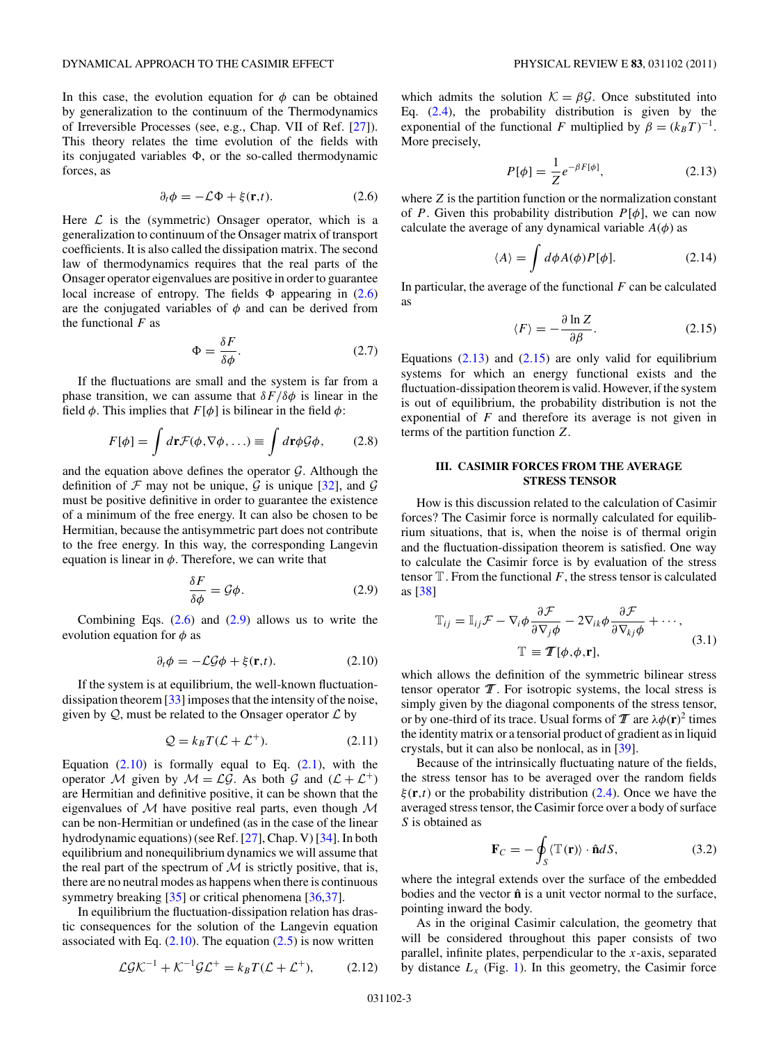<span id="page-2-0"></span>In this case, the evolution equation for  $\phi$  can be obtained by generalization to the continuum of the Thermodynamics of Irreversible Processes (see, e.g., Chap. VII of Ref. [\[27\]](#page-10-0)). This theory relates the time evolution of the fields with its conjugated variables  $\Phi$ , or the so-called thermodynamic forces, as

$$
\partial_t \phi = -\mathcal{L}\Phi + \xi(\mathbf{r}, t). \tag{2.6}
$$

Here  $\mathcal L$  is the (symmetric) Onsager operator, which is a generalization to continuum of the Onsager matrix of transport coefficients. It is also called the dissipation matrix. The second law of thermodynamics requires that the real parts of the Onsager operator eigenvalues are positive in order to guarantee local increase of entropy. The fields  $\Phi$  appearing in (2.6) are the conjugated variables of  $\phi$  and can be derived from the functional *F* as

$$
\Phi = \frac{\delta F}{\delta \phi}.\tag{2.7}
$$

If the fluctuations are small and the system is far from a phase transition, we can assume that  $\delta F/\delta \phi$  is linear in the field  $\phi$ . This implies that  $F[\phi]$  is bilinear in the field  $\phi$ :

$$
F[\phi] = \int d\mathbf{r} \mathcal{F}(\phi, \nabla \phi, \ldots) \equiv \int d\mathbf{r} \phi \mathcal{G}\phi, \qquad (2.8)
$$

and the equation above defines the operator  $G$ . Although the definition of  $\mathcal F$  may not be unique,  $\mathcal G$  is unique [\[32\]](#page-10-0), and  $\mathcal G$ must be positive definitive in order to guarantee the existence of a minimum of the free energy. It can also be chosen to be Hermitian, because the antisymmetric part does not contribute to the free energy. In this way, the corresponding Langevin equation is linear in  $\phi$ . Therefore, we can write that

$$
\frac{\delta F}{\delta \phi} = \mathcal{G}\phi. \tag{2.9}
$$

Combining Eqs.  $(2.6)$  and  $(2.9)$  allows us to write the evolution equation for  $\phi$  as

$$
\partial_t \phi = -\mathcal{L}\mathcal{G}\phi + \xi(\mathbf{r},t). \tag{2.10}
$$

If the system is at equilibrium, the well-known fluctuationdissipation theorem [\[33\]](#page-10-0) imposes that the intensity of the noise, given by  $Q$ , must be related to the Onsager operator  $\mathcal L$  by

$$
\mathcal{Q} = k_B T(\mathcal{L} + \mathcal{L}^+). \tag{2.11}
$$

Equation  $(2.10)$  is formally equal to Eq.  $(2.1)$ , with the operator M given by  $M = \mathcal{LG}$ . As both G and  $(\mathcal{L} + \mathcal{L}^+)$ are Hermitian and definitive positive, it can be shown that the eigenvalues of  $M$  have positive real parts, even though  $M$ can be non-Hermitian or undefined (as in the case of the linear hydrodynamic equations) (see Ref. [\[27\]](#page-10-0), Chap. V) [\[34\]](#page-10-0). In both equilibrium and nonequilibrium dynamics we will assume that the real part of the spectrum of  $M$  is strictly positive, that is, there are no neutral modes as happens when there is continuous symmetry breaking [\[35\]](#page-11-0) or critical phenomena [\[36,37\]](#page-11-0).

In equilibrium the fluctuation-dissipation relation has drastic consequences for the solution of the Langevin equation associated with Eq.  $(2.10)$ . The equation  $(2.5)$  is now written

$$
\mathcal{L}\mathcal{G}\mathcal{K}^{-1} + \mathcal{K}^{-1}\mathcal{G}\mathcal{L}^{+} = k_B T(\mathcal{L} + \mathcal{L}^{+}),\tag{2.12}
$$

which admits the solution  $K = \beta \mathcal{G}$ . Once substituted into Eq.  $(2.4)$ , the probability distribution is given by the exponential of the functional *F* multiplied by  $\beta = (k_B T)^{-1}$ . More precisely,

$$
P[\phi] = \frac{1}{Z} e^{-\beta F[\phi]},\tag{2.13}
$$

where *Z* is the partition function or the normalization constant of *P*. Given this probability distribution  $P[\phi]$ , we can now calculate the average of any dynamical variable  $A(\phi)$  as

$$
\langle A \rangle = \int d\phi A(\phi) P[\phi]. \tag{2.14}
$$

In particular, the average of the functional *F* can be calculated as

$$
\langle F \rangle = -\frac{\partial \ln Z}{\partial \beta}.
$$
 (2.15)

Equations  $(2.13)$  and  $(2.15)$  are only valid for equilibrium systems for which an energy functional exists and the fluctuation-dissipation theorem is valid. However, if the system is out of equilibrium, the probability distribution is not the exponential of *F* and therefore its average is not given in terms of the partition function *Z*.

## **III. CASIMIR FORCES FROM THE AVERAGE STRESS TENSOR**

How is this discussion related to the calculation of Casimir forces? The Casimir force is normally calculated for equilibrium situations, that is, when the noise is of thermal origin and the fluctuation-dissipation theorem is satisfied. One way to calculate the Casimir force is by evaluation of the stress tensor  $T$ . From the functional  $F$ , the stress tensor is calculated as [\[38\]](#page-11-0)

$$
\mathbb{T}_{ij} = \mathbb{I}_{ij} \mathcal{F} - \nabla_i \phi \frac{\partial \mathcal{F}}{\partial \nabla_j \phi} - 2 \nabla_{ik} \phi \frac{\partial \mathcal{F}}{\partial \nabla_{kj} \phi} + \cdots,
$$
  

$$
\mathbb{T} \equiv \mathcal{T}[\phi, \phi, \mathbf{r}],
$$
 (3.1)

which allows the definition of the symmetric bilinear stress tensor operator  $T$ . For isotropic systems, the local stress is simply given by the diagonal components of the stress tensor, or by one-third of its trace. Usual forms of  $T$  are  $\lambda \phi(\mathbf{r})^2$  times the identity matrix or a tensorial product of gradient as in liquid crystals, but it can also be nonlocal, as in [\[39\]](#page-11-0).

Because of the intrinsically fluctuating nature of the fields, the stress tensor has to be averaged over the random fields *ξ* (**r***,t*) or the probability distribution (2.4). Once we have the averaged stress tensor, the Casimir force over a body of surface *S* is obtained as

$$
\mathbf{F}_C = -\oint_S \langle \mathbb{T}(\mathbf{r}) \rangle \cdot \hat{\mathbf{n}} dS, \tag{3.2}
$$

where the integral extends over the surface of the embedded bodies and the vector  $\hat{\mathbf{n}}$  is a unit vector normal to the surface, pointing inward the body.

As in the original Casimir calculation, the geometry that will be considered throughout this paper consists of two parallel, infinite plates, perpendicular to the *x*-axis, separated by distance  $L_x$  (Fig. [1\)](#page-3-0). In this geometry, the Casimir force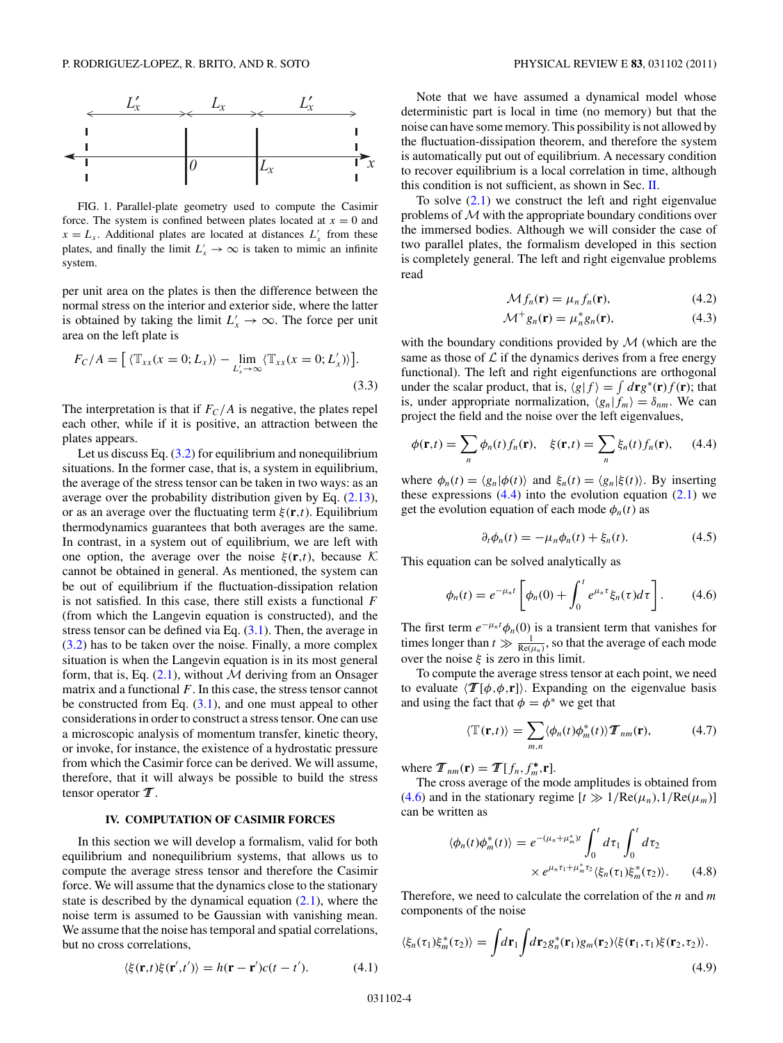<span id="page-3-0"></span>

FIG. 1. Parallel-plate geometry used to compute the Casimir force. The system is confined between plates located at  $x = 0$  and  $x = L_x$ . Additional plates are located at distances  $L'_x$  from these plates, and finally the limit  $L'_x \to \infty$  is taken to mimic an infinite system.

per unit area on the plates is then the difference between the normal stress on the interior and exterior side, where the latter is obtained by taking the limit  $L'_x \to \infty$ . The force per unit area on the left plate is

$$
F_C/A = \left[ \langle \mathbb{T}_{xx}(x=0;L_x) \rangle - \lim_{L_x' \to \infty} \langle \mathbb{T}_{xx}(x=0;L_x') \rangle \right].
$$
\n(3.3)

The interpretation is that if  $F_C/A$  is negative, the plates repel each other, while if it is positive, an attraction between the plates appears.

Let us discuss Eq.  $(3.2)$  for equilibrium and nonequilibrium situations. In the former case, that is, a system in equilibrium, the average of the stress tensor can be taken in two ways: as an average over the probability distribution given by Eq. (2.13), or as an average over the fluctuating term *ξ* (**r***,t*). Equilibrium thermodynamics guarantees that both averages are the same. In contrast, in a system out of equilibrium, we are left with one option, the average over the noise  $\xi(\mathbf{r},t)$ , because K cannot be obtained in general. As mentioned, the system can be out of equilibrium if the fluctuation-dissipation relation is not satisfied. In this case, there still exists a functional *F* (from which the Langevin equation is constructed), and the stress tensor can be defined via Eq.  $(3.1)$ . Then, the average in (3.2) has to be taken over the noise. Finally, a more complex situation is when the Langevin equation is in its most general form, that is, Eq.  $(2.1)$ , without M deriving from an Onsager matrix and a functional *F*. In this case, the stress tensor cannot be constructed from Eq.  $(3.1)$ , and one must appeal to other considerations in order to construct a stress tensor. One can use a microscopic analysis of momentum transfer, kinetic theory, or invoke, for instance, the existence of a hydrostatic pressure from which the Casimir force can be derived. We will assume, therefore, that it will always be possible to build the stress tensor operator  $\mathcal{T}$ .

### **IV. COMPUTATION OF CASIMIR FORCES**

In this section we will develop a formalism, valid for both equilibrium and nonequilibrium systems, that allows us to compute the average stress tensor and therefore the Casimir force. We will assume that the dynamics close to the stationary state is described by the dynamical equation  $(2.1)$ , where the noise term is assumed to be Gaussian with vanishing mean. We assume that the noise has temporal and spatial correlations, but no cross correlations,

Note that we have assumed a dynamical model whose deterministic part is local in time (no memory) but that the noise can have some memory. This possibility is not allowed by the fluctuation-dissipation theorem, and therefore the system is automatically put out of equilibrium. A necessary condition to recover equilibrium is a local correlation in time, although this condition is not sufficient, as shown in Sec. [II.](#page-1-0)

To solve  $(2.1)$  we construct the left and right eigenvalue problems of  $M$  with the appropriate boundary conditions over the immersed bodies. Although we will consider the case of two parallel plates, the formalism developed in this section is completely general. The left and right eigenvalue problems read

$$
\mathcal{M}f_n(\mathbf{r}) = \mu_n f_n(\mathbf{r}),\tag{4.2}
$$

$$
\mathcal{M}^+ g_n(\mathbf{r}) = \mu_n^* g_n(\mathbf{r}),\tag{4.3}
$$

with the boundary conditions provided by  $M$  (which are the same as those of  $\mathcal L$  if the dynamics derives from a free energy functional). The left and right eigenfunctions are orthogonal under the scalar product, that is,  $\langle g | f \rangle = \int d\mathbf{r} g^*(\mathbf{r}) f(\mathbf{r})$ ; that is, under appropriate normalization,  $\langle g_n | f_m \rangle = \delta_{nm}$ . We can project the field and the noise over the left eigenvalues,

$$
\phi(\mathbf{r},t) = \sum_{n} \phi_n(t) f_n(\mathbf{r}), \quad \xi(\mathbf{r},t) = \sum_{n} \xi_n(t) f_n(\mathbf{r}), \qquad (4.4)
$$

where  $\phi_n(t) = \langle g_n | \phi(t) \rangle$  and  $\xi_n(t) = \langle g_n | \xi(t) \rangle$ . By inserting these expressions  $(4.4)$  into the evolution equation  $(2.1)$  we get the evolution equation of each mode  $\phi_n(t)$  as

$$
\partial_t \phi_n(t) = -\mu_n \phi_n(t) + \xi_n(t). \tag{4.5}
$$

This equation can be solved analytically as

$$
\phi_n(t) = e^{-\mu_n t} \left[ \phi_n(0) + \int_0^t e^{\mu_n \tau} \xi_n(\tau) d\tau \right]. \tag{4.6}
$$

The first term  $e^{-\mu_n t}\phi_n(0)$  is a transient term that vanishes for times longer than  $t \gg \frac{1}{Re(\mu_n)}$ , so that the average of each mode over the noise  $\xi$  is zero in this limit.

To compute the average stress tensor at each point, we need to evaluate  $\langle \mathcal{T}[\phi, \phi, \mathbf{r}] \rangle$ . Expanding on the eigenvalue basis and using the fact that  $\phi = \phi^*$  we get that

$$
\langle \mathbb{T}(\mathbf{r},t) \rangle = \sum_{m,n} \langle \phi_n(t) \phi_m^*(t) \rangle \mathcal{T}_{nm}(\mathbf{r}), \tag{4.7}
$$

where  $\mathcal{T}_{nm}(\mathbf{r}) = \mathcal{T}[f_n, f_m^*, \mathbf{r}].$ 

The cross average of the mode amplitudes is obtained from (4.6) and in the stationary regime  $[t \gg 1/\text{Re}(\mu_n), 1/\text{Re}(\mu_m)]$ can be written as

$$
\langle \phi_n(t)\phi_m^*(t) \rangle = e^{-(\mu_n + \mu_m^*)t} \int_0^t d\tau_1 \int_0^t d\tau_2
$$
  
 
$$
\times e^{\mu_n \tau_1 + \mu_m^* \tau_2} \langle \xi_n(\tau_1) \xi_m^*(\tau_2) \rangle. \tag{4.8}
$$

Therefore, we need to calculate the correlation of the *n* and *m* components of the noise

$$
\langle \xi_n(\tau_1)\xi_m^*(\tau_2)\rangle = \int d\mathbf{r}_1 \int d\mathbf{r}_2 g_n^*(\mathbf{r}_1) g_m(\mathbf{r}_2) \langle \xi(\mathbf{r}_1, \tau_1)\xi(\mathbf{r}_2, \tau_2)\rangle.
$$
\n(4.9)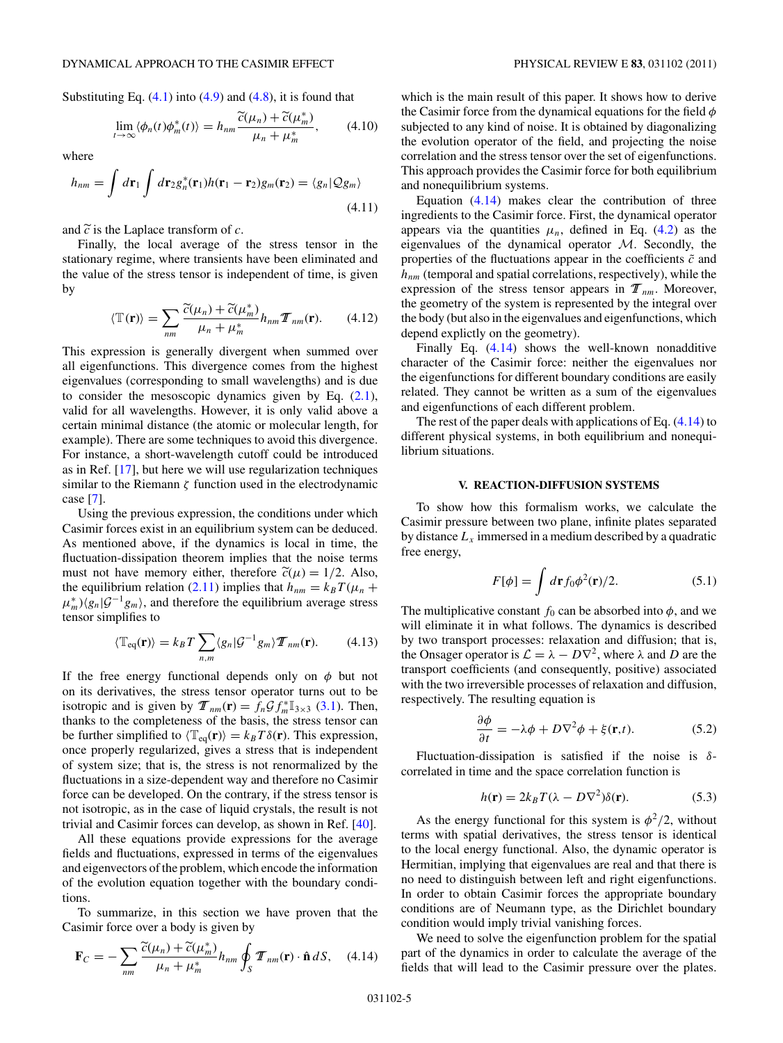<span id="page-4-0"></span>Substituting Eq.  $(4.1)$  into  $(4.9)$  and  $(4.8)$ , it is found that

$$
\lim_{t \to \infty} \langle \phi_n(t) \phi_m^*(t) \rangle = h_{nm} \frac{\widetilde{c}(\mu_n) + \widetilde{c}(\mu_m^*)}{\mu_n + \mu_m^*}, \qquad (4.10)
$$

where

$$
h_{nm} = \int d\mathbf{r}_1 \int d\mathbf{r}_2 g_n^*(\mathbf{r}_1) h(\mathbf{r}_1 - \mathbf{r}_2) g_m(\mathbf{r}_2) = \langle g_n | \mathcal{Q} g_m \rangle
$$
\n(4.11)

and  $\tilde{c}$  is the Laplace transform of  $c$ .

Finally, the local average of the stress tensor in the stationary regime, where transients have been eliminated and the value of the stress tensor is independent of time, is given by

$$
\langle \mathbb{T}(\mathbf{r}) \rangle = \sum_{nm} \frac{\widetilde{c}(\mu_n) + \widetilde{c}(\mu_m^*)}{\mu_n + \mu_m^*} h_{nm} \mathcal{T}_{nm}(\mathbf{r}). \tag{4.12}
$$

This expression is generally divergent when summed over all eigenfunctions. This divergence comes from the highest eigenvalues (corresponding to small wavelengths) and is due to consider the mesoscopic dynamics given by Eq.  $(2.1)$ , valid for all wavelengths. However, it is only valid above a certain minimal distance (the atomic or molecular length, for example). There are some techniques to avoid this divergence. For instance, a short-wavelength cutoff could be introduced as in Ref. [\[17\]](#page-10-0), but here we will use regularization techniques similar to the Riemann  $\zeta$  function used in the electrodynamic case [\[7\]](#page-10-0).

Using the previous expression, the conditions under which Casimir forces exist in an equilibrium system can be deduced. As mentioned above, if the dynamics is local in time, the fluctuation-dissipation theorem implies that the noise terms must not have memory either, therefore  $\tilde{c}(\mu) = 1/2$ . Also, the equilibrium relation (2.11) implies that  $h_{nm} = k_B T(\mu_n +$  $\mu_m^*$ ) $\langle g_n | \mathcal{G}^{-1} g_m \rangle$ , and therefore the equilibrium average stress tensor simplifies to

$$
\langle \mathbb{T}_{\text{eq}}(\mathbf{r}) \rangle = k_B T \sum_{n,m} \langle g_n | \mathcal{G}^{-1} g_m \rangle \mathcal{T}_{nm}(\mathbf{r}). \tag{4.13}
$$

If the free energy functional depends only on *φ* but not on its derivatives, the stress tensor operator turns out to be isotropic and is given by  $\mathcal{T}_{nm}(\mathbf{r}) = f_n \mathcal{G} f_m^* \mathbb{I}_{3 \times 3}$  (3.1). Then, thanks to the completeness of the basis, the stress tensor can be further simplified to  $\langle \mathbb{T}_{eq}(\mathbf{r}) \rangle = k_B T \delta(\mathbf{r})$ . This expression, once properly regularized, gives a stress that is independent of system size; that is, the stress is not renormalized by the fluctuations in a size-dependent way and therefore no Casimir force can be developed. On the contrary, if the stress tensor is not isotropic, as in the case of liquid crystals, the result is not trivial and Casimir forces can develop, as shown in Ref. [\[40\]](#page-11-0).

All these equations provide expressions for the average fields and fluctuations, expressed in terms of the eigenvalues and eigenvectors of the problem, which encode the information of the evolution equation together with the boundary conditions.

To summarize, in this section we have proven that the Casimir force over a body is given by

$$
\mathbf{F}_C = -\sum_{nm} \frac{\widetilde{c}(\mu_n) + \widetilde{c}(\mu_m^*)}{\mu_n + \mu_m^*} h_{nm} \oint_S \mathbf{T}_{nm}(\mathbf{r}) \cdot \hat{\mathbf{n}} \, dS, \quad (4.14)
$$

which is the main result of this paper. It shows how to derive the Casimir force from the dynamical equations for the field *φ* subjected to any kind of noise. It is obtained by diagonalizing the evolution operator of the field, and projecting the noise correlation and the stress tensor over the set of eigenfunctions. This approach provides the Casimir force for both equilibrium and nonequilibrium systems.

Equation  $(4.14)$  makes clear the contribution of three ingredients to the Casimir force. First, the dynamical operator appears via the quantities  $\mu_n$ , defined in Eq. (4.2) as the eigenvalues of the dynamical operator  $M$ . Secondly, the properties of the fluctuations appear in the coefficients  $\tilde{c}$  and  $h_{nm}$  (temporal and spatial correlations, respectively), while the expression of the stress tensor appears in  $\mathcal{T}_{nm}$ . Moreover, the geometry of the system is represented by the integral over the body (but also in the eigenvalues and eigenfunctions, which depend explictly on the geometry).

Finally Eq.  $(4.14)$  shows the well-known nonadditive character of the Casimir force: neither the eigenvalues nor the eigenfunctions for different boundary conditions are easily related. They cannot be written as a sum of the eigenvalues and eigenfunctions of each different problem.

The rest of the paper deals with applications of Eq.  $(4.14)$  to different physical systems, in both equilibrium and nonequilibrium situations.

## **V. REACTION-DIFFUSION SYSTEMS**

To show how this formalism works, we calculate the Casimir pressure between two plane, infinite plates separated by distance  $L_x$  immersed in a medium described by a quadratic free energy,

$$
F[\phi] = \int d\mathbf{r} f_0 \phi^2(\mathbf{r})/2.
$$
 (5.1)

The multiplicative constant  $f_0$  can be absorbed into  $\phi$ , and we will eliminate it in what follows. The dynamics is described by two transport processes: relaxation and diffusion; that is, the Onsager operator is  $\mathcal{L} = \lambda - D\nabla^2$ , where  $\lambda$  and *D* are the transport coefficients (and consequently, positive) associated with the two irreversible processes of relaxation and diffusion, respectively. The resulting equation is

$$
\frac{\partial \phi}{\partial t} = -\lambda \phi + D\nabla^2 \phi + \xi(\mathbf{r}, t). \tag{5.2}
$$

Fluctuation-dissipation is satisfied if the noise is *δ*correlated in time and the space correlation function is

$$
h(\mathbf{r}) = 2k_B T(\lambda - D\nabla^2)\delta(\mathbf{r}).
$$
\n(5.3)

As the energy functional for this system is  $\phi^2/2$ , without terms with spatial derivatives, the stress tensor is identical to the local energy functional. Also, the dynamic operator is Hermitian, implying that eigenvalues are real and that there is no need to distinguish between left and right eigenfunctions. In order to obtain Casimir forces the appropriate boundary conditions are of Neumann type, as the Dirichlet boundary condition would imply trivial vanishing forces.

We need to solve the eigenfunction problem for the spatial part of the dynamics in order to calculate the average of the fields that will lead to the Casimir pressure over the plates.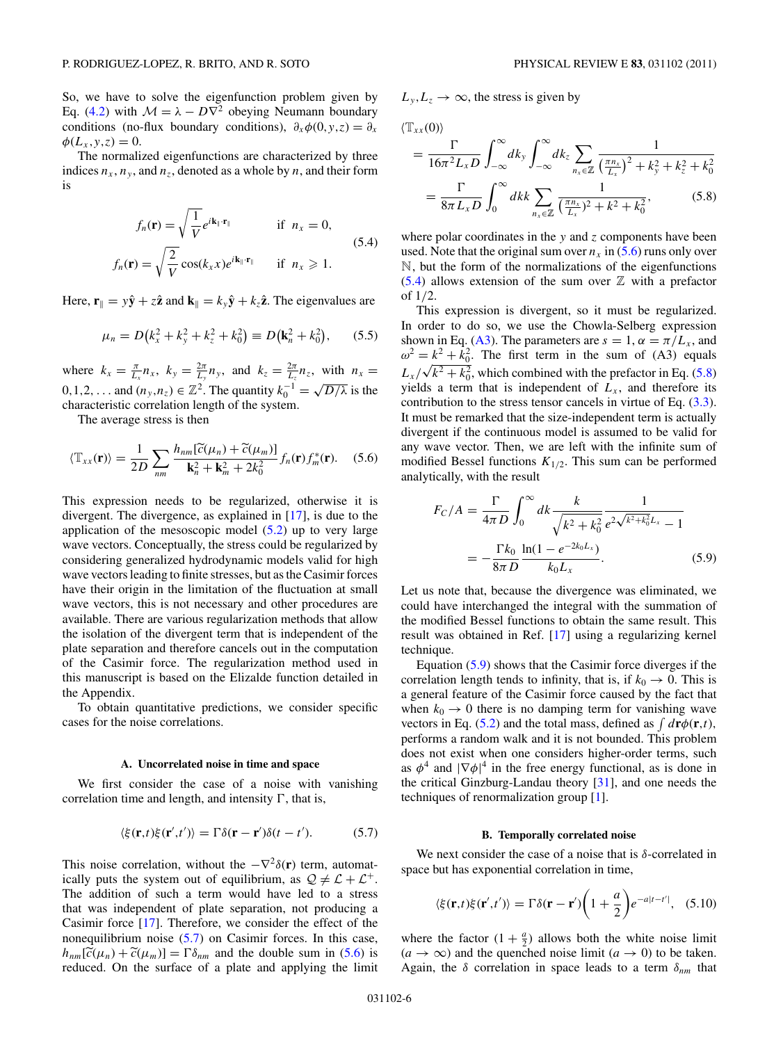<span id="page-5-0"></span>So, we have to solve the eigenfunction problem given by Eq. (4.2) with  $\mathcal{M} = \lambda - D\nabla^2$  obeying Neumann boundary conditions (no-flux boundary conditions),  $\partial_x \phi(0, y, z) = \partial_x$  $\phi(L_x, y, z) = 0.$ 

The normalized eigenfunctions are characterized by three indices  $n_x$ ,  $n_y$ , and  $n_z$ , denoted as a whole by *n*, and their form is

$$
f_n(\mathbf{r}) = \sqrt{\frac{1}{V}} e^{i\mathbf{k}_{\parallel} \cdot \mathbf{r}_{\parallel}}
$$
if  $n_x = 0$ ,  

$$
f_n(\mathbf{r}) = \sqrt{\frac{2}{V}} \cos(k_x x) e^{i\mathbf{k}_{\parallel} \cdot \mathbf{r}_{\parallel}}
$$
if  $n_x \ge 1$ . (5.4)

Here,  $\mathbf{r}_{\parallel} = y\hat{\mathbf{y}} + z\hat{\mathbf{z}}$  and  $\mathbf{k}_{\parallel} = k_y\hat{\mathbf{y}} + k_z\hat{\mathbf{z}}$ . The eigenvalues are

$$
\mu_n = D(k_x^2 + k_y^2 + k_z^2 + k_0^2) \equiv D(k_n^2 + k_0^2), \qquad (5.5)
$$

where  $k_x = \frac{\pi}{L_x} n_x$ ,  $k_y = \frac{2\pi}{L_y} n_y$ , and  $k_z = \frac{2\pi}{L_z} n_z$ , with  $n_x =$ 0,1,2<sup>*,*</sup>... and  $(n_y, n_z) \in \mathbb{Z}^2$ . The quantity  $k_0^{-1} = \sqrt{D/\lambda}$  is the characteristic correlation length of the system.

The average stress is then

$$
\langle \mathbb{T}_{xx}(\mathbf{r}) \rangle = \frac{1}{2D} \sum_{nm} \frac{h_{nm}[\widetilde{c}(\mu_n) + \widetilde{c}(\mu_m)]}{\mathbf{k}_n^2 + \mathbf{k}_m^2 + 2k_0^2} f_n(\mathbf{r}) f_m^*(\mathbf{r}). \quad (5.6)
$$

This expression needs to be regularized, otherwise it is divergent. The divergence, as explained in [\[17\]](#page-10-0), is due to the application of the mesoscopic model  $(5.2)$  up to very large wave vectors. Conceptually, the stress could be regularized by considering generalized hydrodynamic models valid for high wave vectors leading to finite stresses, but as the Casimir forces have their origin in the limitation of the fluctuation at small wave vectors, this is not necessary and other procedures are available. There are various regularization methods that allow the isolation of the divergent term that is independent of the plate separation and therefore cancels out in the computation of the Casimir force. The regularization method used in this manuscript is based on the Elizalde function detailed in the Appendix.

To obtain quantitative predictions, we consider specific cases for the noise correlations.

#### **A. Uncorrelated noise in time and space**

We first consider the case of a noise with vanishing correlation time and length, and intensity  $\Gamma$ , that is,

$$
\langle \xi(\mathbf{r},t)\xi(\mathbf{r}',t')\rangle = \Gamma \delta(\mathbf{r}-\mathbf{r}')\delta(t-t'). \tag{5.7}
$$

This noise correlation, without the  $-\nabla^2 \delta(\mathbf{r})$  term, automatically puts the system out of equilibrium, as  $\mathcal{Q} \neq \mathcal{L} + \mathcal{L}^+$ . The addition of such a term would have led to a stress that was independent of plate separation, not producing a Casimir force [\[17\]](#page-10-0). Therefore, we consider the effect of the nonequilibrium noise (5.7) on Casimir forces. In this case,  $h_{nm}[\tilde{c}(\mu_n) + \tilde{c}(\mu_m)] = \Gamma \delta_{nm}$  and the double sum in (5.6) is reduced. On the surface of a plate and applying the limit  $L_y, L_z \rightarrow \infty$ , the stress is given by

$$
\langle \mathbb{T}_{xx}(0) \rangle
$$
\n
$$
= \frac{\Gamma}{16\pi^2 L_x D} \int_{-\infty}^{\infty} dk_y \int_{-\infty}^{\infty} dk_z \sum_{n_x \in \mathbb{Z}} \frac{1}{\left(\frac{\pi n_x}{L_x}\right)^2 + k_y^2 + k_z^2 + k_0^2}
$$
\n
$$
= \frac{\Gamma}{8\pi L_x D} \int_0^{\infty} dk k \sum_{n_x \in \mathbb{Z}} \frac{1}{\left(\frac{\pi n_x}{L_x}\right)^2 + k^2 + k_0^2},
$$
\n(5.8)

where polar coordinates in the *y* and *z* components have been used. Note that the original sum over  $n_x$  in  $(5.6)$  runs only over N, but the form of the normalizations of the eigenfunctions  $(5.4)$  allows extension of the sum over  $\mathbb{Z}$  with a prefactor of 1*/*2.

This expression is divergent, so it must be regularized. In order to do so, we use the Chowla-Selberg expression shown in Eq. [\(A3\)](#page-10-0). The parameters are  $s = 1$ ,  $\alpha = \pi/L_x$ , and  $\omega^2 = k^2 + k_0^2$ . The first term in the sum of (A3) equals  $L_x/\sqrt{k^2 + k_0^2}$ , which combined with the prefactor in Eq. (5.8) yields a term that is independent of  $L<sub>x</sub>$ , and therefore its contribution to the stress tensor cancels in virtue of Eq. (3.3). It must be remarked that the size-independent term is actually divergent if the continuous model is assumed to be valid for any wave vector. Then, we are left with the infinite sum of modified Bessel functions  $K_{1/2}$ . This sum can be performed analytically, with the result

$$
F_C/A = \frac{\Gamma}{4\pi D} \int_0^\infty dk \frac{k}{\sqrt{k^2 + k_0^2}} \frac{1}{e^{2\sqrt{k^2 + k_0^2}L_x} - 1}
$$
  
= 
$$
-\frac{\Gamma k_0}{8\pi D} \frac{\ln(1 - e^{-2k_0 L_x})}{k_0 L_x}.
$$
 (5.9)

Let us note that, because the divergence was eliminated, we could have interchanged the integral with the summation of the modified Bessel functions to obtain the same result. This result was obtained in Ref. [\[17\]](#page-10-0) using a regularizing kernel technique.

Equation (5.9) shows that the Casimir force diverges if the correlation length tends to infinity, that is, if  $k_0 \rightarrow 0$ . This is a general feature of the Casimir force caused by the fact that when  $k_0 \rightarrow 0$  there is no damping term for vanishing wave vectors in Eq. (5.2) and the total mass, defined as  $\int d\mathbf{r}\phi(\mathbf{r},t)$ , performs a random walk and it is not bounded. This problem does not exist when one considers higher-order terms, such as  $\phi^4$  and  $|\nabla \phi|^4$  in the free energy functional, as is done in the critical Ginzburg-Landau theory [\[31\]](#page-10-0), and one needs the techniques of renormalization group [\[1\]](#page-10-0).

#### **B. Temporally correlated noise**

We next consider the case of a noise that is *δ*-correlated in space but has exponential correlation in time,

$$
\langle \xi(\mathbf{r},t)\xi(\mathbf{r}',t')\rangle = \Gamma \delta(\mathbf{r}-\mathbf{r}') \bigg(1+\frac{a}{2}\bigg) e^{-a|t-t'|}, \quad (5.10)
$$

where the factor  $(1 + \frac{a}{2})$  allows both the white noise limit  $(a \rightarrow \infty)$  and the quenched noise limit  $(a \rightarrow 0)$  to be taken. Again, the *δ* correlation in space leads to a term *δnm* that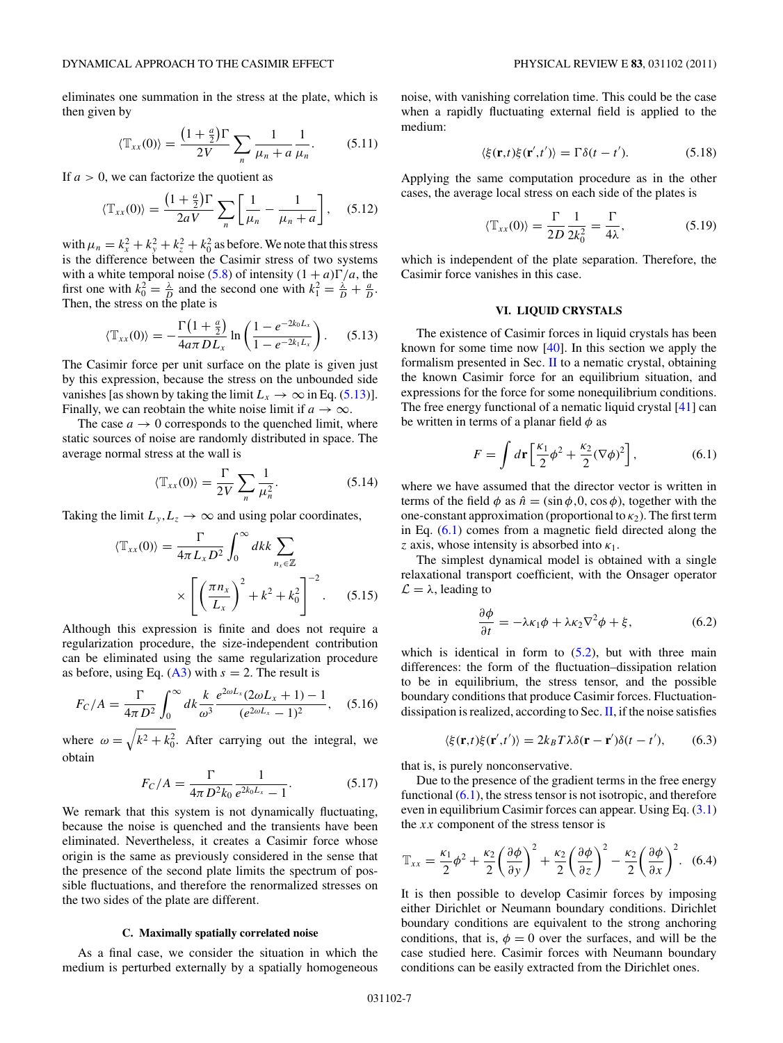<span id="page-6-0"></span>eliminates one summation in the stress at the plate, which is then given by

$$
\langle \mathbb{T}_{xx}(0) \rangle = \frac{\left(1 + \frac{a}{2}\right)\Gamma}{2V} \sum_{n} \frac{1}{\mu_n + a} \frac{1}{\mu_n}.\tag{5.11}
$$

If *a >* 0, we can factorize the quotient as

$$
\langle \mathbb{T}_{xx}(0) \rangle = \frac{\left(1 + \frac{a}{2}\right)\Gamma}{2aV} \sum_{n} \left[\frac{1}{\mu_n} - \frac{1}{\mu_n + a}\right], \quad (5.12)
$$

with  $\mu_n = k_x^2 + k_y^2 + k_z^2 + k_0^2$  as before. We note that this stress is the difference between the Casimir stress of two systems with a white temporal noise (5.8) of intensity  $(1 + a)\Gamma/a$ , the first one with  $k_0^2 = \frac{\lambda}{D}$  and the second one with  $k_1^2 = \frac{\lambda}{D} + \frac{a}{D}$ . Then, the stress on the plate is

$$
\langle \mathbb{T}_{xx}(0) \rangle = -\frac{\Gamma(1+\frac{a}{2})}{4a\pi D L_x} \ln\left(\frac{1-e^{-2k_0 L_x}}{1-e^{-2k_1 L_x}}\right). \tag{5.13}
$$

The Casimir force per unit surface on the plate is given just by this expression, because the stress on the unbounded side vanishes [as shown by taking the limit  $L_x \to \infty$  in Eq. (5.13)]. Finally, we can reobtain the white noise limit if  $a \to \infty$ .

The case  $a \rightarrow 0$  corresponds to the quenched limit, where static sources of noise are randomly distributed in space. The average normal stress at the wall is

$$
\langle \mathbb{T}_{xx}(0) \rangle = \frac{\Gamma}{2V} \sum_{n} \frac{1}{\mu_n^2}.
$$
 (5.14)

Taking the limit  $L_y, L_z \rightarrow \infty$  and using polar coordinates,

$$
\langle \mathbb{T}_{xx}(0) \rangle = \frac{\Gamma}{4\pi L_x D^2} \int_0^\infty dk \, k \sum_{n_x \in \mathbb{Z}} \times \left[ \left( \frac{\pi n_x}{L_x} \right)^2 + k^2 + k_0^2 \right]^{-2} . \tag{5.15}
$$

Although this expression is finite and does not require a regularization procedure, the size-independent contribution can be eliminated using the same regularization procedure as before, using Eq.  $(A3)$  with  $s = 2$ . The result is

$$
F_C/A = \frac{\Gamma}{4\pi D^2} \int_0^\infty dk \frac{k}{\omega^3} \frac{e^{2\omega L_x} (2\omega L_x + 1) - 1}{(e^{2\omega L_x} - 1)^2}, \quad (5.16)
$$

where  $\omega = \sqrt{k^2 + k_0^2}$ . After carrying out the integral, we obtain

$$
F_C/A = \frac{\Gamma}{4\pi D^2 k_0} \frac{1}{e^{2k_0 L_x} - 1}.
$$
 (5.17)

We remark that this system is not dynamically fluctuating, because the noise is quenched and the transients have been eliminated. Nevertheless, it creates a Casimir force whose origin is the same as previously considered in the sense that the presence of the second plate limits the spectrum of possible fluctuations, and therefore the renormalized stresses on the two sides of the plate are different.

### **C. Maximally spatially correlated noise**

As a final case, we consider the situation in which the medium is perturbed externally by a spatially homogeneous noise, with vanishing correlation time. This could be the case when a rapidly fluctuating external field is applied to the medium:

$$
\langle \xi(\mathbf{r},t)\xi(\mathbf{r}',t')\rangle = \Gamma \delta(t-t'). \tag{5.18}
$$

Applying the same computation procedure as in the other cases, the average local stress on each side of the plates is

$$
\langle \mathbb{T}_{xx}(0) \rangle = \frac{\Gamma}{2D} \frac{1}{2k_0^2} = \frac{\Gamma}{4\lambda},\tag{5.19}
$$

which is independent of the plate separation. Therefore, the Casimir force vanishes in this case.

# **VI. LIQUID CRYSTALS**

The existence of Casimir forces in liquid crystals has been known for some time now [\[40\]](#page-11-0). In this section we apply the formalism presented in Sec.  $\Pi$  to a nematic crystal, obtaining the known Casimir force for an equilibrium situation, and expressions for the force for some nonequilibrium conditions. The free energy functional of a nematic liquid crystal [\[41\]](#page-11-0) can be written in terms of a planar field *φ* as

$$
F = \int d\mathbf{r} \left[ \frac{\kappa_1}{2} \phi^2 + \frac{\kappa_2}{2} (\nabla \phi)^2 \right],\tag{6.1}
$$

where we have assumed that the director vector is written in terms of the field  $\phi$  as  $\hat{n} = (\sin \phi, 0, \cos \phi)$ , together with the one-constant approximation (proportional to  $\kappa_2$ ). The first term in Eq. (6.1) comes from a magnetic field directed along the *z* axis, whose intensity is absorbed into  $\kappa_1$ .

The simplest dynamical model is obtained with a single relaxational transport coefficient, with the Onsager operator  $\mathcal{L} = \lambda$ , leading to

$$
\frac{\partial \phi}{\partial t} = -\lambda \kappa_1 \phi + \lambda \kappa_2 \nabla^2 \phi + \xi, \qquad (6.2)
$$

which is identical in form to  $(5.2)$ , but with three main differences: the form of the fluctuation–dissipation relation to be in equilibrium, the stress tensor, and the possible boundary conditions that produce Casimir forces. Fluctuationdissipation is realized, according to Sec.  $II$ , if the noise satisfies

$$
\langle \xi(\mathbf{r},t)\xi(\mathbf{r}',t')\rangle = 2k_B T \lambda \delta(\mathbf{r}-\mathbf{r}')\delta(t-t'),\tag{6.3}
$$

that is, is purely nonconservative.

Due to the presence of the gradient terms in the free energy functional  $(6.1)$ , the stress tensor is not isotropic, and therefore even in equilibrium Casimir forces can appear. Using Eq. (3.1) the *xx* component of the stress tensor is

$$
\mathbb{T}_{xx} = \frac{\kappa_1}{2}\phi^2 + \frac{\kappa_2}{2}\left(\frac{\partial\phi}{\partial y}\right)^2 + \frac{\kappa_2}{2}\left(\frac{\partial\phi}{\partial z}\right)^2 - \frac{\kappa_2}{2}\left(\frac{\partial\phi}{\partial x}\right)^2. \tag{6.4}
$$

It is then possible to develop Casimir forces by imposing either Dirichlet or Neumann boundary conditions. Dirichlet boundary conditions are equivalent to the strong anchoring conditions, that is,  $\phi = 0$  over the surfaces, and will be the case studied here. Casimir forces with Neumann boundary conditions can be easily extracted from the Dirichlet ones.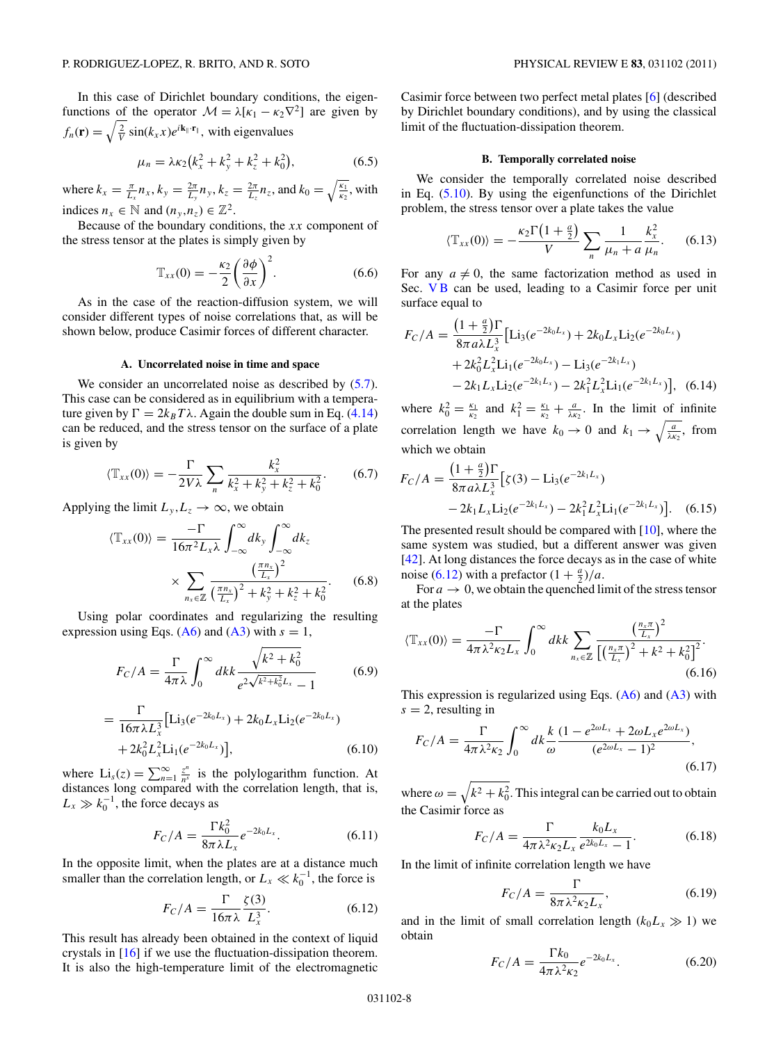In this case of Dirichlet boundary conditions, the eigenfunctions of the operator  $\mathcal{M} = \lambda[\kappa_1 - \kappa_2 \nabla^2]$  are given by  $f_n(\mathbf{r}) = \sqrt{\frac{2}{V}} \sin(k_x x) e^{i\mathbf{k}_\parallel \cdot \mathbf{r}_\parallel}$ , with eigenvalues

$$
\mu_n = \lambda \kappa_2 (k_x^2 + k_y^2 + k_z^2 + k_0^2), \tag{6.5}
$$

where  $k_x = \frac{\pi}{L_x} n_x$ ,  $k_y = \frac{2\pi}{L_y} n_y$ ,  $k_z = \frac{2\pi}{L_z} n_z$ , and  $k_0 = \sqrt{\frac{k_1}{k_2}}$ , with indices  $n_x \in \mathbb{N}$  and  $(n_y, n_z) \in \mathbb{Z}^2$ .

Because of the boundary conditions, the *xx* component of the stress tensor at the plates is simply given by

$$
\mathbb{T}_{xx}(0) = -\frac{\kappa_2}{2} \left(\frac{\partial \phi}{\partial x}\right)^2.
$$
 (6.6)

As in the case of the reaction-diffusion system, we will consider different types of noise correlations that, as will be shown below, produce Casimir forces of different character.

### **A. Uncorrelated noise in time and space**

We consider an uncorrelated noise as described by  $(5.7)$ . This case can be considered as in equilibrium with a temperature given by  $\Gamma = 2k_B T \lambda$ . Again the double sum in Eq. (4.14) can be reduced, and the stress tensor on the surface of a plate is given by

$$
\langle \mathbb{T}_{xx}(0) \rangle = -\frac{\Gamma}{2V\lambda} \sum_{n} \frac{k_x^2}{k_x^2 + k_y^2 + k_z^2 + k_0^2}.
$$
 (6.7)

Applying the limit  $L_y, L_z \rightarrow \infty$ , we obtain

$$
\langle \mathbb{T}_{xx}(0) \rangle = \frac{-\Gamma}{16\pi^2 L_x \lambda} \int_{-\infty}^{\infty} dk_y \int_{-\infty}^{\infty} dk_z
$$

$$
\times \sum_{n_x \in \mathbb{Z}} \frac{\left(\frac{\pi n_x}{L_x}\right)^2}{\left(\frac{\pi n_x}{L_x}\right)^2 + k_y^2 + k_z^2 + k_0^2}.
$$
(6.8)

Using polar coordinates and regularizing the resulting expression using Eqs. [\(A6\)](#page-10-0) and [\(A3\)](#page-10-0) with  $s = 1$ ,

$$
F_C/A = \frac{\Gamma}{4\pi\lambda} \int_0^\infty dk \frac{\sqrt{k^2 + k_0^2}}{e^{2\sqrt{k^2 + k_0^2}L_x} - 1}
$$
(6.9)

$$
= \frac{\Gamma}{16\pi\lambda L_x^3} \left[ \text{Li}_3(e^{-2k_0L_x}) + 2k_0L_x \text{Li}_2(e^{-2k_0L_x}) + 2k_0^2L_x^2 \text{Li}_1(e^{-2k_0L_x}) \right],
$$
(6.10)

where  $Li_s(z) = \sum_{n=1}^{\infty} \frac{z^n}{n^s}$  is the polylogarithm function. At distances long compared with the correlation length, that is,  $L_x \gg k_0^{-1}$ , the force decays as

$$
F_C/A = \frac{\Gamma k_0^2}{8\pi\lambda L_x} e^{-2k_0 L_x}.
$$
 (6.11)

In the opposite limit, when the plates are at a distance much smaller than the correlation length, or  $L_x \ll k_0^{-1}$ , the force is

$$
F_C/A = \frac{\Gamma}{16\pi\lambda} \frac{\zeta(3)}{L_x^3}.
$$
 (6.12)

This result has already been obtained in the context of liquid crystals in [\[16\]](#page-10-0) if we use the fluctuation-dissipation theorem. It is also the high-temperature limit of the electromagnetic Casimir force between two perfect metal plates [\[6\]](#page-10-0) (described by Dirichlet boundary conditions), and by using the classical limit of the fluctuation-dissipation theorem.

### **B. Temporally correlated noise**

We consider the temporally correlated noise described in Eq. (5.10). By using the eigenfunctions of the Dirichlet problem, the stress tensor over a plate takes the value

$$
\langle \mathbb{T}_{xx}(0) \rangle = -\frac{\kappa_2 \Gamma(1+\frac{a}{2})}{V} \sum_n \frac{1}{\mu_n + a} \frac{k_x^2}{\mu_n}.
$$
 (6.13)

For any  $a \neq 0$ , the same factorization method as used in Sec. VB can be used, leading to a Casimir force per unit surface equal to

$$
F_C/A = \frac{\left(1 + \frac{a}{2}\right)\Gamma}{8\pi a\lambda L_x^3} \left[Li_3(e^{-2k_0L_x}) + 2k_0L_xLi_2(e^{-2k_0L_x})\right. \left. + 2k_0^2L_x^2Li_1(e^{-2k_0L_x}) - Li_3(e^{-2k_1L_x})\right. \left. - 2k_1L_xLi_2(e^{-2k_1L_x}) - 2k_1^2L_x^2Li_1(e^{-2k_1L_x})\right], \quad (6.14)
$$

where  $k_0^2 = \frac{k_1}{k_2}$  and  $k_1^2 = \frac{k_1}{k_2} + \frac{a}{\lambda k_2}$ . In the limit of infinite correlation length we have  $k_0 \to 0$  and  $k_1 \to \sqrt{\frac{a}{\lambda \kappa_2}}$ , from which we obtain

$$
F_C/A = \frac{\left(1 + \frac{a}{2}\right)\Gamma}{8\pi a\lambda L_x^3} \left[\zeta(3) - \text{Li}_3(e^{-2k_1L_x})\right] - 2k_1L_x\text{Li}_2(e^{-2k_1L_x}) - 2k_1^2L_x^2\text{Li}_1(e^{-2k_1L_x})\right].\tag{6.15}
$$

The presented result should be compared with [\[10\]](#page-10-0), where the same system was studied, but a different answer was given [\[42\]](#page-11-0). At long distances the force decays as in the case of white noise (6.12) with a prefactor  $(1 + \frac{a}{2})/a$ .

For  $a \to 0$ , we obtain the quenched limit of the stress tensor at the plates

$$
\langle \mathbb{T}_{xx}(0) \rangle = \frac{-\Gamma}{4\pi\lambda^2 \kappa_2 L_x} \int_0^\infty dk \sum_{n_x \in \mathbb{Z}} \frac{\left(\frac{n_x \pi}{L_x}\right)^2}{\left[\left(\frac{n_x \pi}{L_x}\right)^2 + k^2 + k_0^2\right]^2}.
$$
\n(6.16)

This expression is regularized using Eqs.  $(A6)$  and  $(A3)$  with  $s = 2$ , resulting in

$$
F_C/A = \frac{\Gamma}{4\pi\lambda^2\kappa_2} \int_0^\infty dk \frac{k}{\omega} \frac{(1 - e^{2\omega L_x} + 2\omega L_x e^{2\omega L_x})}{(e^{2\omega L_x} - 1)^2},\tag{6.17}
$$

where  $\omega = \sqrt{k^2 + k_0^2}$ . This integral can be carried out to obtain the Casimir force as

$$
F_C/A = \frac{\Gamma}{4\pi\lambda^2\kappa_2 L_x} \frac{k_0 L_x}{e^{2k_0 L_x} - 1}.
$$
 (6.18)

In the limit of infinite correlation length we have

$$
F_C/A = \frac{\Gamma}{8\pi\lambda^2 \kappa_2 L_x},\tag{6.19}
$$

and in the limit of small correlation length  $(k_0 L_x \gg 1)$  we obtain

$$
F_C/A = \frac{\Gamma k_0}{4\pi\lambda^2 \kappa_2} e^{-2k_0 L_x}.
$$
 (6.20)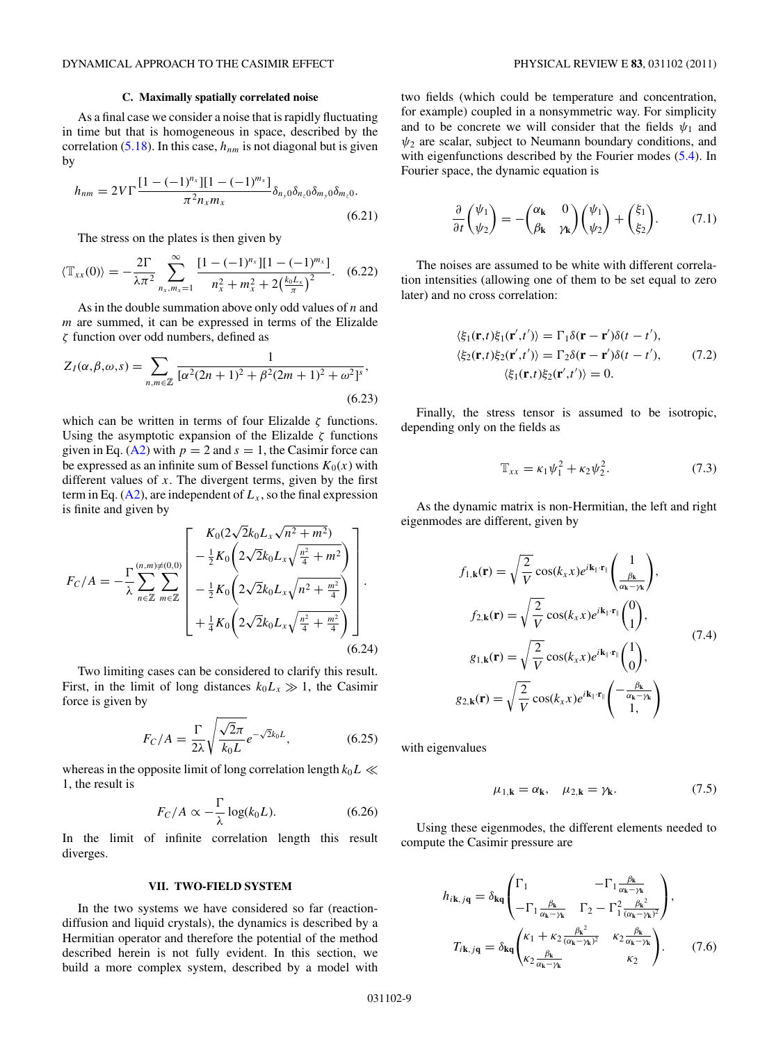## **C. Maximally spatially correlated noise**

<span id="page-8-0"></span>As a final case we consider a noise that is rapidly fluctuating in time but that is homogeneous in space, described by the correlation  $(5.18)$ . In this case,  $h_{nm}$  is not diagonal but is given by

$$
h_{nm} = 2V\Gamma \frac{[1 - (-1)^{n_x}][1 - (-1)^{m_x}]}{\pi^2 n_x m_x} \delta_{n_y 0} \delta_{n_z 0} \delta_{m_y 0} \delta_{m_z 0}.
$$
\n(6.21)

The stress on the plates is then given by

$$
\langle \mathbb{T}_{xx}(0) \rangle = -\frac{2\Gamma}{\lambda \pi^2} \sum_{n_x, m_x = 1}^{\infty} \frac{[1 - (-1)^{n_x}][1 - (-1)^{m_x}]}{n_x^2 + m_x^2 + 2\left(\frac{k_0 L_x}{\pi}\right)^2}.
$$
 (6.22)

As in the double summation above only odd values of *n* and *m* are summed, it can be expressed in terms of the Elizalde *ζ* function over odd numbers, defined as

$$
Z_I(\alpha, \beta, \omega, s) = \sum_{n, m \in \mathbb{Z}} \frac{1}{[\alpha^2 (2n+1)^2 + \beta^2 (2m+1)^2 + \omega^2]^s},
$$
\n(6.23)

which can be written in terms of four Elizalde *ζ* functions. Using the asymptotic expansion of the Elizalde *ζ* functions given in Eq. [\(A2\)](#page-10-0) with  $p = 2$  and  $s = 1$ , the Casimir force can be expressed as an infinite sum of Bessel functions  $K_0(x)$  with different values of *x*. The divergent terms, given by the first term in Eq.  $(A2)$ , are independent of  $L<sub>x</sub>$ , so the final expression is finite and given by

$$
F_C/A = -\frac{\Gamma_{(n,m)\neq(0,0)}}{\lambda} \left[ \begin{array}{c} K_0(2\sqrt{2}k_0L_x\sqrt{n^2+m^2}) \\ -\frac{1}{2}K_0\left(2\sqrt{2}k_0L_x\sqrt{\frac{n^2}{4}+m^2}\right) \\ -\frac{1}{2}K_0\left(2\sqrt{2}k_0L_x\sqrt{n^2+\frac{m^2}{4}}\right) \\ +\frac{1}{4}K_0\left(2\sqrt{2}k_0L_x\sqrt{\frac{n^2}{4}+\frac{m^2}{4}}\right) \end{array} \right].
$$
\n(6.24)

Two limiting cases can be considered to clarify this result. First, in the limit of long distances  $k_0 L_x \gg 1$ , the Casimir force is given by

$$
F_C/A = \frac{\Gamma}{2\lambda} \sqrt{\frac{\sqrt{2}\pi}{k_0 L}} e^{-\sqrt{2}k_0 L}, \qquad (6.25)
$$

whereas in the opposite limit of long correlation length  $k_0L \ll$ 1, the result is

$$
F_C/A \propto -\frac{\Gamma}{\lambda} \log(k_0 L). \tag{6.26}
$$

In the limit of infinite correlation length this result diverges.

## **VII. TWO-FIELD SYSTEM**

In the two systems we have considered so far (reactiondiffusion and liquid crystals), the dynamics is described by a Hermitian operator and therefore the potential of the method described herein is not fully evident. In this section, we build a more complex system, described by a model with

two fields (which could be temperature and concentration, for example) coupled in a nonsymmetric way. For simplicity and to be concrete we will consider that the fields  $\psi_1$  and  $\psi_2$  are scalar, subject to Neumann boundary conditions, and with eigenfunctions described by the Fourier modes (5.4). In Fourier space, the dynamic equation is

$$
\frac{\partial}{\partial t} \begin{pmatrix} \psi_1 \\ \psi_2 \end{pmatrix} = - \begin{pmatrix} \alpha_{\mathbf{k}} & 0 \\ \beta_{\mathbf{k}} & \gamma_{\mathbf{k}} \end{pmatrix} \begin{pmatrix} \psi_1 \\ \psi_2 \end{pmatrix} + \begin{pmatrix} \xi_1 \\ \xi_2 \end{pmatrix}.
$$
 (7.1)

The noises are assumed to be white with different correlation intensities (allowing one of them to be set equal to zero later) and no cross correlation:

$$
\langle \xi_1(\mathbf{r},t)\xi_1(\mathbf{r}',t')\rangle = \Gamma_1 \delta(\mathbf{r}-\mathbf{r}')\delta(t-t'),
$$
  

$$
\langle \xi_2(\mathbf{r},t)\xi_2(\mathbf{r}',t')\rangle = \Gamma_2 \delta(\mathbf{r}-\mathbf{r}')\delta(t-t'),
$$
 (7.2)  

$$
\langle \xi_1(\mathbf{r},t)\xi_2(\mathbf{r}',t')\rangle = 0.
$$

Finally, the stress tensor is assumed to be isotropic, depending only on the fields as

$$
\mathbb{T}_{xx} = \kappa_1 \psi_1^2 + \kappa_2 \psi_2^2. \tag{7.3}
$$

As the dynamic matrix is non-Hermitian, the left and right eigenmodes are different, given by

$$
f_{1,\mathbf{k}}(\mathbf{r}) = \sqrt{\frac{2}{V}} \cos(k_x x) e^{i\mathbf{k}_{\parallel} \cdot \mathbf{r}_{\parallel}} \left(\frac{1}{\frac{\beta_{\mathbf{k}}}{\alpha_{\mathbf{k}} - \gamma_{\mathbf{k}}}}\right),
$$
  
\n
$$
f_{2,\mathbf{k}}(\mathbf{r}) = \sqrt{\frac{2}{V}} \cos(k_x x) e^{i\mathbf{k}_{\parallel} \cdot \mathbf{r}_{\parallel}} \left(\frac{0}{1}\right),
$$
  
\n
$$
g_{1,\mathbf{k}}(\mathbf{r}) = \sqrt{\frac{2}{V}} \cos(k_x x) e^{i\mathbf{k}_{\parallel} \cdot \mathbf{r}_{\parallel}} \left(\frac{1}{0}\right),
$$
  
\n
$$
g_{2,\mathbf{k}}(\mathbf{r}) = \sqrt{\frac{2}{V}} \cos(k_x x) e^{i\mathbf{k}_{\parallel} \cdot \mathbf{r}_{\parallel}} \left(\frac{-\frac{\beta_{\mathbf{k}}}{\alpha_{\mathbf{k}} - \gamma_{\mathbf{k}}}}{1}\right)
$$
 (7.4)

with eigenvalues

$$
\mu_{1,k} = \alpha_k, \quad \mu_{2,k} = \gamma_k. \tag{7.5}
$$

Using these eigenmodes, the different elements needed to compute the Casimir pressure are

$$
h_{i\mathbf{k},j\mathbf{q}} = \delta_{\mathbf{kq}} \begin{pmatrix} \Gamma_1 & -\Gamma_1 \frac{\beta_{\mathbf{k}}}{\alpha_{\mathbf{k}} - \gamma_{\mathbf{k}}} \\ -\Gamma_1 \frac{\beta_{\mathbf{k}}}{\alpha_{\mathbf{k}} - \gamma_{\mathbf{k}}} & \Gamma_2 - \Gamma_1^2 \frac{\beta_{\mathbf{k}}^2}{(\alpha_{\mathbf{k}} - \gamma_{\mathbf{k}})^2} \end{pmatrix},
$$

$$
T_{i\mathbf{k},j\mathbf{q}} = \delta_{\mathbf{kq}} \begin{pmatrix} \kappa_1 + \kappa_2 \frac{\beta_{\mathbf{k}}^2}{(\alpha_{\mathbf{k}} - \gamma_{\mathbf{k}})^2} & \kappa_2 \frac{\beta_{\mathbf{k}}}{\alpha_{\mathbf{k}} - \gamma_{\mathbf{k}}} \\ \kappa_2 \frac{\beta_{\mathbf{k}}}{\alpha_{\mathbf{k}} - \gamma_{\mathbf{k}}} & \kappa_2 \end{pmatrix}.
$$
(7.6)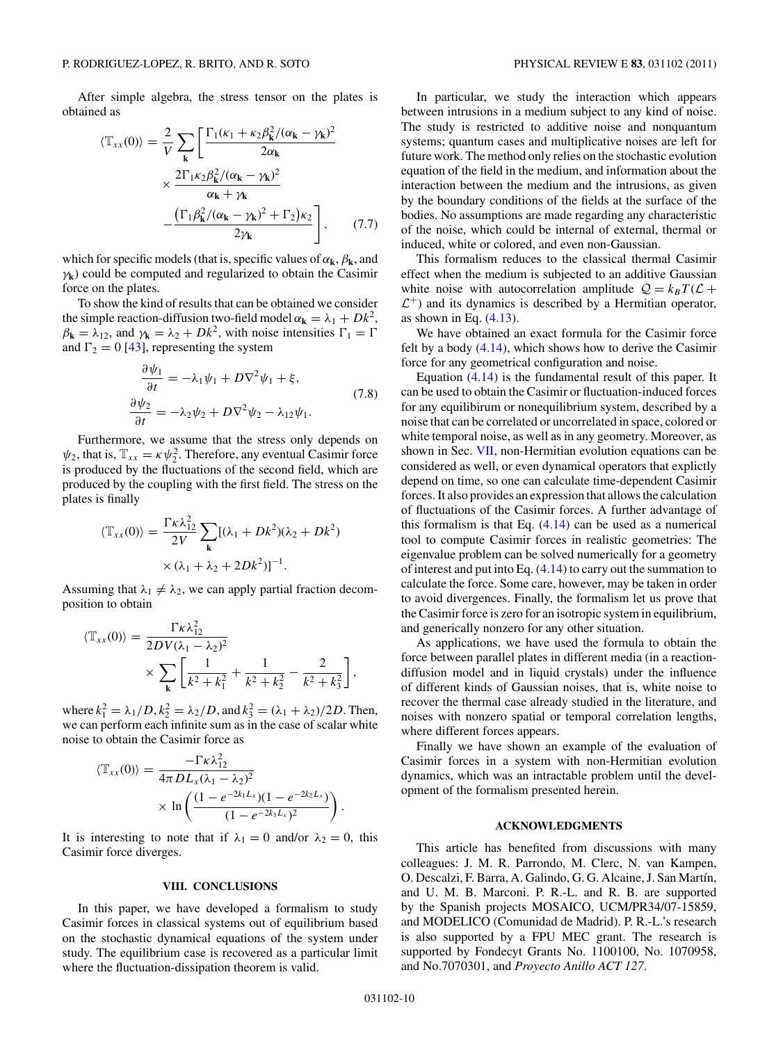After simple algebra, the stress tensor on the plates is obtained as

$$
\langle \mathbb{T}_{xx}(0) \rangle = \frac{2}{V} \sum_{\mathbf{k}} \left[ \frac{\Gamma_1(\kappa_1 + \kappa_2 \beta_{\mathbf{k}}^2/(\alpha_{\mathbf{k}} - \gamma_{\mathbf{k}})^2}{2\alpha_{\mathbf{k}}} \times \frac{2\Gamma_1 \kappa_2 \beta_{\mathbf{k}}^2/(\alpha_{\mathbf{k}} - \gamma_{\mathbf{k}})^2}{\alpha_{\mathbf{k}} + \gamma_{\mathbf{k}}} - \frac{(\Gamma_1 \beta_{\mathbf{k}}^2/(\alpha_{\mathbf{k}} - \gamma_{\mathbf{k}})^2 + \Gamma_2)\kappa_2}{2\gamma_{\mathbf{k}}} \right], \quad (7.7)
$$

which for specific models (that is, specific values of  $\alpha_k$ ,  $\beta_k$ , and *γ***k**) could be computed and regularized to obtain the Casimir force on the plates.

To show the kind of results that can be obtained we consider the simple reaction-diffusion two-field model  $\alpha_k = \lambda_1 + Dk^2$ ,  $\beta_{\mathbf{k}} = \lambda_{12}$ , and  $\gamma_{\mathbf{k}} = \lambda_2 + Dk^2$ , with noise intensities  $\Gamma_1 = \Gamma$ and  $\Gamma_2 = 0$  [\[43\]](#page-11-0), representing the system

$$
\frac{\partial \psi_1}{\partial t} = -\lambda_1 \psi_1 + D \nabla^2 \psi_1 + \xi,
$$
  
\n
$$
\frac{\partial \psi_2}{\partial t} = -\lambda_2 \psi_2 + D \nabla^2 \psi_2 - \lambda_{12} \psi_1.
$$
\n(7.8)

Furthermore, we assume that the stress only depends on  $\psi_2$ , that is,  $\mathbb{T}_{xx} = \kappa \psi_2^2$ . Therefore, any eventual Casimir force is produced by the fluctuations of the second field, which are produced by the coupling with the first field. The stress on the plates is finally

$$
\langle \mathbb{T}_{xx}(0) \rangle = \frac{\Gamma \kappa \lambda_{12}^2}{2V} \sum_{\mathbf{k}} [(\lambda_1 + Dk^2)(\lambda_2 + Dk^2) \times (\lambda_1 + \lambda_2 + 2Dk^2)]^{-1}.
$$

Assuming that  $\lambda_1 \neq \lambda_2$ , we can apply partial fraction decomposition to obtain

$$
\langle \mathbb{T}_{xx}(0) \rangle = \frac{\Gamma \kappa \lambda_{12}^2}{2DV(\lambda_1 - \lambda_2)^2} \times \sum_{\mathbf{k}} \left[ \frac{1}{k^2 + k_1^2} + \frac{1}{k^2 + k_2^2} - \frac{2}{k^2 + k_3^2} \right],
$$

 $\lambda_1^2 = \lambda_1/D, k_2^2 = \lambda_2/D, \text{ and } k_3^2 = (\lambda_1 + \lambda_2)/2D.$  Then, we can perform each infinite sum as in the case of scalar white noise to obtain the Casimir force as

$$
\langle \mathbb{T}_{xx}(0) \rangle = \frac{-\Gamma \kappa \lambda_{12}^2}{4\pi D L_x (\lambda_1 - \lambda_2)^2} \times \ln \left( \frac{(1 - e^{-2k_1 L_x})(1 - e^{-2k_2 L_x})}{(1 - e^{-2k_3 L_x})^2} \right).
$$

It is interesting to note that if  $\lambda_1 = 0$  and/or  $\lambda_2 = 0$ , this Casimir force diverges.

## **VIII. CONCLUSIONS**

In this paper, we have developed a formalism to study Casimir forces in classical systems out of equilibrium based on the stochastic dynamical equations of the system under study. The equilibrium case is recovered as a particular limit where the fluctuation-dissipation theorem is valid.

In particular, we study the interaction which appears between intrusions in a medium subject to any kind of noise. The study is restricted to additive noise and nonquantum systems; quantum cases and multiplicative noises are left for future work. The method only relies on the stochastic evolution equation of the field in the medium, and information about the interaction between the medium and the intrusions, as given by the boundary conditions of the fields at the surface of the bodies. No assumptions are made regarding any characteristic of the noise, which could be internal of external, thermal or induced, white or colored, and even non-Gaussian.

This formalism reduces to the classical thermal Casimir effect when the medium is subjected to an additive Gaussian white noise with autocorrelation amplitude  $Q = k_B T (L +$  $\mathcal{L}^+$ ) and its dynamics is described by a Hermitian operator, as shown in Eq.  $(4.13)$ .

We have obtained an exact formula for the Casimir force felt by a body (4.14), which shows how to derive the Casimir force for any geometrical configuration and noise.

Equation (4.14) is the fundamental result of this paper. It can be used to obtain the Casimir or fluctuation-induced forces for any equilibirum or nonequilibrium system, described by a noise that can be correlated or uncorrelated in space, colored or white temporal noise, as well as in any geometry. Moreover, as shown in Sec. [VII,](#page-8-0) non-Hermitian evolution equations can be considered as well, or even dynamical operators that explictly depend on time, so one can calculate time-dependent Casimir forces. It also provides an expression that allows the calculation of fluctuations of the Casimir forces. A further advantage of this formalism is that Eq.  $(4.14)$  can be used as a numerical tool to compute Casimir forces in realistic geometries: The eigenvalue problem can be solved numerically for a geometry of interest and put into Eq.  $(4.14)$  to carry out the summation to calculate the force. Some care, however, may be taken in order to avoid divergences. Finally, the formalism let us prove that the Casimir force is zero for an isotropic system in equilibrium, and generically nonzero for any other situation.

As applications, we have used the formula to obtain the force between parallel plates in different media (in a reactiondiffusion model and in liquid crystals) under the influence of different kinds of Gaussian noises, that is, white noise to recover the thermal case already studied in the literature, and noises with nonzero spatial or temporal correlation lengths, where different forces appears.

Finally we have shown an example of the evaluation of Casimir forces in a system with non-Hermitian evolution dynamics, which was an intractable problem until the development of the formalism presented herein.

### **ACKNOWLEDGMENTS**

This article has benefited from discussions with many colleagues: J. M. R. Parrondo, M. Clerc, N. van Kampen, O. Descalzi, F. Barra, A. Galindo, G. G. Alcaine, J. San Martín, and U. M. B. Marconi. P. R.-L. and R. B. are supported by the Spanish projects MOSAICO, UCM/PR34/07-15859, and MODELICO (Comunidad de Madrid). P. R.-L.'s research is also supported by a FPU MEC grant. The research is supported by Fondecyt Grants No. 1100100, No. 1070958, and No.7070301, and *Proyecto Anillo ACT 127*.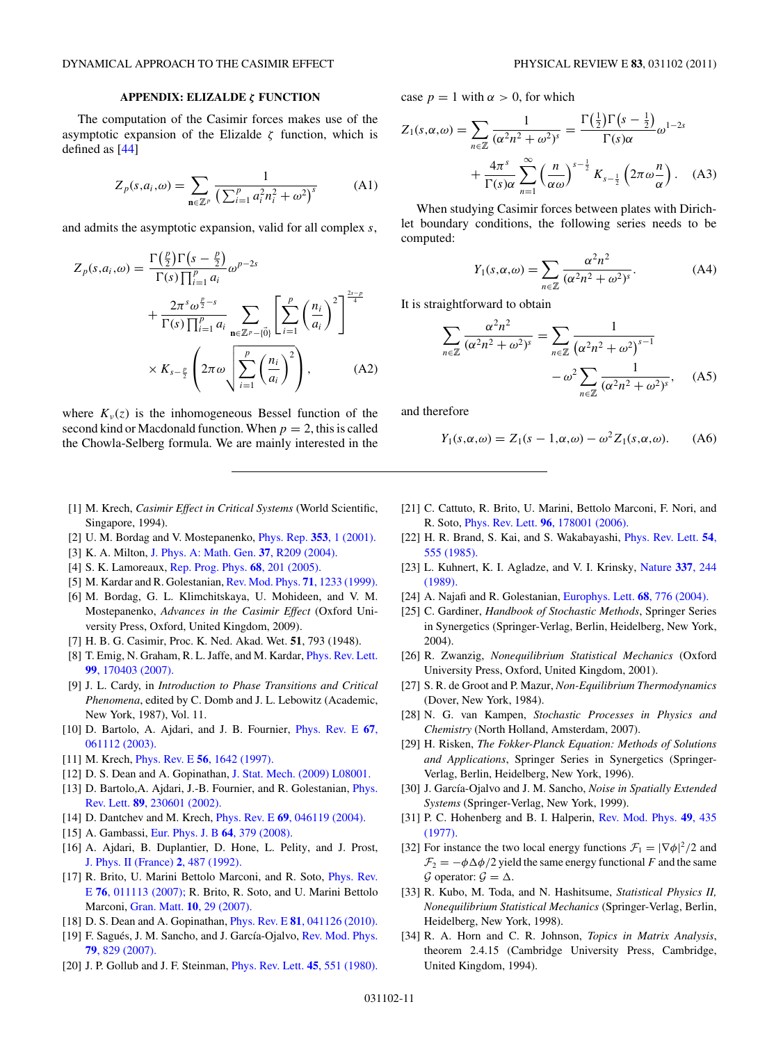## **APPENDIX: ELIZALDE** *ζ* **FUNCTION**

<span id="page-10-0"></span>The computation of the Casimir forces makes use of the asymptotic expansion of the Elizalde *ζ* function, which is defined as [\[44\]](#page-11-0)

$$
Z_p(s, a_i, \omega) = \sum_{\mathbf{n} \in \mathbb{Z}^p} \frac{1}{\left(\sum_{i=1}^p a_i^2 n_i^2 + \omega^2\right)^s}
$$
 (A1)

and admits the asymptotic expansion, valid for all complex *s*,

$$
Z_p(s, a_i, \omega) = \frac{\Gamma(\frac{p}{2})\Gamma(s - \frac{p}{2})}{\Gamma(s)\prod_{i=1}^p a_i} \omega^{p-2s}
$$
  
+ 
$$
\frac{2\pi^s \omega^{\frac{p}{2}-s}}{\Gamma(s)\prod_{i=1}^p a_i} \sum_{\mathbf{n} \in \mathbb{Z}^p - \{\vec{0}\}} \left[ \sum_{i=1}^p \left(\frac{n_i}{a_i}\right)^2 \right]^{\frac{2s-p}{4}}
$$
  
×  $K_{s-\frac{p}{2}} \left(2\pi \omega \sqrt{\sum_{i=1}^p \left(\frac{n_i}{a_i}\right)^2} \right),$  (A2)

where  $K_v(z)$  is the inhomogeneous Bessel function of the second kind or Macdonald function. When  $p = 2$ , this is called the Chowla-Selberg formula. We are mainly interested in the

- [1] M. Krech, *Casimir Effect in Critical Systems* (World Scientific, Singapore, 1994).
- [2] U. M. Bordag and V. Mostepanenko, [Phys. Rep.](http://dx.doi.org/10.1016/S0370-1573(01)00015-1) **353**, 1 (2001).
- [3] K. A. Milton, [J. Phys. A: Math. Gen.](http://dx.doi.org/10.1088/0305-4470/37/38/R01) **37**, R209 (2004).
- [4] S. K. Lamoreaux, [Rep. Prog. Phys.](http://dx.doi.org/10.1088/0034-4885/68/1/R04) **68**, 201 (2005).
- [5] M. Kardar and R. Golestanian, [Rev. Mod. Phys.](http://dx.doi.org/10.1103/RevModPhys.71.1233) **71**, 1233 (1999).
- [6] M. Bordag, G. L. Klimchitskaya, U. Mohideen, and V. M. Mostepanenko, *Advances in the Casimir Effect* (Oxford University Press, Oxford, United Kingdom, 2009).
- [7] H. B. G. Casimir, Proc. K. Ned. Akad. Wet. **51**, 793 (1948).
- [8] T. Emig, N. Graham, R. L. Jaffe, and M. Kardar, [Phys. Rev. Lett.](http://dx.doi.org/10.1103/PhysRevLett.99.170403) **99**[, 170403 \(2007\).](http://dx.doi.org/10.1103/PhysRevLett.99.170403)
- [9] J. L. Cardy, in *Introduction to Phase Transitions and Critical Phenomena*, edited by C. Domb and J. L. Lebowitz (Academic, New York, 1987), Vol. 11.
- [10] D. Bartolo, A. Ajdari, and J. B. Fournier, [Phys. Rev. E](http://dx.doi.org/10.1103/PhysRevE.67.061112) **67**, [061112 \(2003\).](http://dx.doi.org/10.1103/PhysRevE.67.061112)
- [11] M. Krech, Phys. Rev. E **56**[, 1642 \(1997\).](http://dx.doi.org/10.1103/PhysRevE.56.1642)
- [12] D. S. Dean and A. Gopinathan, [J. Stat. Mech. \(2009\) L08001.](http://dx.doi.org/10.1088/1742-5468/2009/08/L08001)
- [13] D. Bartolo, A. Ajdari, J.-B. Fournier, and R. Golestanian, *[Phys.](http://dx.doi.org/10.1103/PhysRevLett.89.230601)* Rev. Lett. **89**[, 230601 \(2002\).](http://dx.doi.org/10.1103/PhysRevLett.89.230601)
- [14] D. Dantchev and M. Krech, Phys. Rev. E **69**[, 046119 \(2004\).](http://dx.doi.org/10.1103/PhysRevE.69.046119)
- [15] A. Gambassi, [Eur. Phys. J. B](http://dx.doi.org/10.1140/epjb/e2008-00043-y) **64**, 379 (2008).
- [16] A. Ajdari, B. Duplantier, D. Hone, L. Pelity, and J. Prost, [J. Phys. II \(France\)](http://dx.doi.org/10.1051/jp2:1992145) **2**, 487 (1992).
- [17] R. Brito, U. Marini Bettolo Marconi, and R. Soto, [Phys. Rev.](http://dx.doi.org/10.1103/PhysRevE.76.011113) E **76**[, 011113 \(2007\);](http://dx.doi.org/10.1103/PhysRevE.76.011113) R. Brito, R. Soto, and U. Marini Bettolo Marconi, Gran. Matt. **10**[, 29 \(2007\).](http://dx.doi.org/10.1007/s10035-007-0056-0)
- [18] D. S. Dean and A. Gopinathan, Phys. Rev. E **81**[, 041126 \(2010\).](http://dx.doi.org/10.1103/PhysRevE.81.041126)
- [19] F. Sagués, J. M. Sancho, and J. García-Ojalvo, [Rev. Mod. Phys.](http://dx.doi.org/10.1103/RevModPhys.79.829) **79**[, 829 \(2007\).](http://dx.doi.org/10.1103/RevModPhys.79.829)
- [20] J. P. Gollub and J. F. Steinman, [Phys. Rev. Lett.](http://dx.doi.org/10.1103/PhysRevLett.45.551) **45**, 551 (1980).

case  $p = 1$  with  $\alpha > 0$ , for which

$$
Z_1(s,\alpha,\omega) = \sum_{n \in \mathbb{Z}} \frac{1}{(\alpha^2 n^2 + \omega^2)^s} = \frac{\Gamma(\frac{1}{2}) \Gamma(s - \frac{1}{2})}{\Gamma(s)\alpha} \omega^{1-2s} + \frac{4\pi^s}{\Gamma(s)\alpha} \sum_{n=1}^{\infty} \left(\frac{n}{\alpha\omega}\right)^{s - \frac{1}{2}} K_{s - \frac{1}{2}} \left(2\pi \omega \frac{n}{\alpha}\right). \quad (A3)
$$

When studying Casimir forces between plates with Dirichlet boundary conditions, the following series needs to be computed:

$$
Y_1(s,\alpha,\omega) = \sum_{n \in \mathbb{Z}} \frac{\alpha^2 n^2}{(\alpha^2 n^2 + \omega^2)^s}.
$$
 (A4)

It is straightforward to obtain

$$
\sum_{n\in\mathbb{Z}}\frac{\alpha^2n^2}{(\alpha^2n^2+\omega^2)^s} = \sum_{n\in\mathbb{Z}}\frac{1}{(\alpha^2n^2+\omega^2)^{s-1}}
$$

$$
-\omega^2\sum_{n\in\mathbb{Z}}\frac{1}{(\alpha^2n^2+\omega^2)^s},\quad\text{(A5)}
$$

and therefore

$$
Y_1(s, \alpha, \omega) = Z_1(s - 1, \alpha, \omega) - \omega^2 Z_1(s, \alpha, \omega). \tag{A6}
$$

- [21] C. Cattuto, R. Brito, U. Marini, Bettolo Marconi, F. Nori, and R. Soto, Phys. Rev. Lett. **96**[, 178001 \(2006\).](http://dx.doi.org/10.1103/PhysRevLett.96.178001)
- [22] H. R. Brand, S. Kai, and S. Wakabayashi, [Phys. Rev. Lett.](http://dx.doi.org/10.1103/PhysRevLett.54.555) **54**, [555 \(1985\).](http://dx.doi.org/10.1103/PhysRevLett.54.555)
- [23] L. Kuhnert, K. I. Agladze, and V. I. Krinsky, [Nature](http://dx.doi.org/10.1038/337244a0) **337**, 244 [\(1989\).](http://dx.doi.org/10.1038/337244a0)
- [24] A. Najafi and R. Golestanian, [Europhys. Lett.](http://dx.doi.org/10.1209/epl/i2004-10275-5) **68**, 776 (2004).
- [25] C. Gardiner, *Handbook of Stochastic Methods*, Springer Series in Synergetics (Springer-Verlag, Berlin, Heidelberg, New York, 2004).
- [26] R. Zwanzig, *Nonequilibrium Statistical Mechanics* (Oxford University Press, Oxford, United Kingdom, 2001).
- [27] S. R. de Groot and P. Mazur, *Non-Equilibrium Thermodynamics* (Dover, New York, 1984).
- [28] N. G. van Kampen, *Stochastic Processes in Physics and Chemistry* (North Holland, Amsterdam, 2007).
- [29] H. Risken, *The Fokker-Planck Equation: Methods of Solutions and Applications*, Springer Series in Synergetics (Springer-Verlag, Berlin, Heidelberg, New York, 1996).
- [30] J. García-Ojalvo and J. M. Sancho, *Noise in Spatially Extended Systems* (Springer-Verlag, New York, 1999).
- [31] P. C. Hohenberg and B. I. Halperin, [Rev. Mod. Phys.](http://dx.doi.org/10.1103/RevModPhys.49.435) **49**, 435 [\(1977\).](http://dx.doi.org/10.1103/RevModPhys.49.435)
- [32] For instance the two local energy functions  $\mathcal{F}_1 = |\nabla \phi|^2/2$  and  $\mathcal{F}_2 = -\phi \Delta \phi / 2$  yield the same energy functional *F* and the same  $\mathcal G$  operator:  $\mathcal G = \Delta$ .
- [33] R. Kubo, M. Toda, and N. Hashitsume, *Statistical Physics II, Nonequilibrium Statistical Mechanics* (Springer-Verlag, Berlin, Heidelberg, New York, 1998).
- [34] R. A. Horn and C. R. Johnson, *Topics in Matrix Analysis*, theorem 2.4.15 (Cambridge University Press, Cambridge, United Kingdom, 1994).